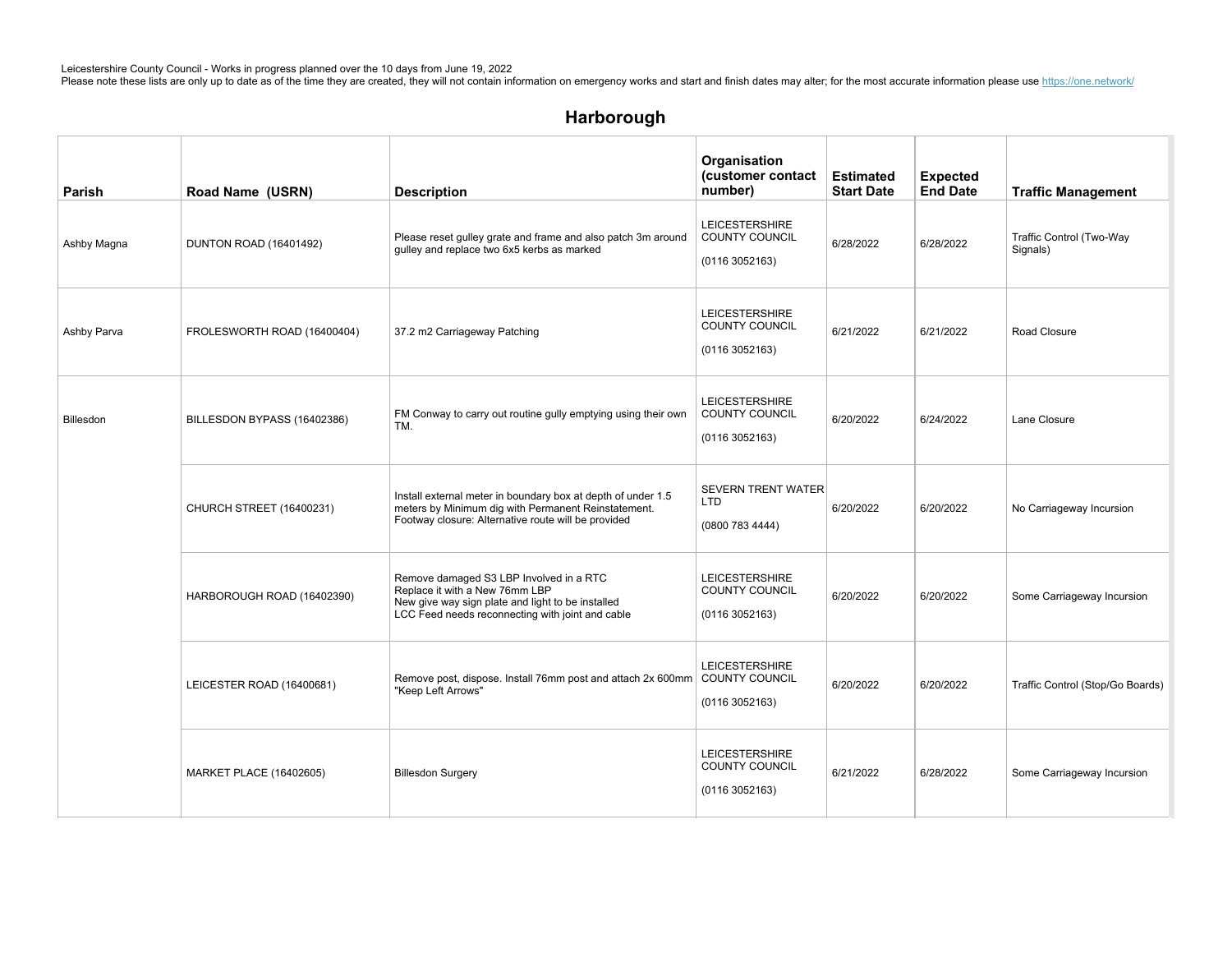| Parish      | Road Name (USRN)                | <b>Description</b>                                                                                                                                                                 | Organisation<br>(customer contact<br>number)                    | <b>Estimated</b><br><b>Start Date</b> | <b>Expected</b><br><b>End Date</b> | <b>Traffic Management</b>            |
|-------------|---------------------------------|------------------------------------------------------------------------------------------------------------------------------------------------------------------------------------|-----------------------------------------------------------------|---------------------------------------|------------------------------------|--------------------------------------|
| Ashby Magna | DUNTON ROAD (16401492)          | Please reset gulley grate and frame and also patch 3m around<br>gulley and replace two 6x5 kerbs as marked                                                                         | <b>LEICESTERSHIRE</b><br><b>COUNTY COUNCIL</b><br>(01163052163) | 6/28/2022                             | 6/28/2022                          | Traffic Control (Two-Way<br>Signals) |
| Ashby Parva | FROLESWORTH ROAD (16400404)     | 37.2 m2 Carriageway Patching                                                                                                                                                       | <b>LEICESTERSHIRE</b><br>COUNTY COUNCIL<br>(01163052163)        | 6/21/2022                             | 6/21/2022                          | Road Closure                         |
| Billesdon   | BILLESDON BYPASS (16402386)     | FM Conway to carry out routine gully emptying using their own<br>TM.                                                                                                               | <b>LEICESTERSHIRE</b><br><b>COUNTY COUNCIL</b><br>(01163052163) | 6/20/2022                             | 6/24/2022                          | Lane Closure                         |
|             | <b>CHURCH STREET (16400231)</b> | Install external meter in boundary box at depth of under 1.5<br>meters by Minimum dig with Permanent Reinstatement.<br>Footway closure: Alternative route will be provided         | SEVERN TRENT WATER<br>LTD<br>(0800 783 4444)                    | 6/20/2022                             | 6/20/2022                          | No Carriageway Incursion             |
|             | HARBOROUGH ROAD (16402390)      | Remove damaged S3 LBP Involved in a RTC<br>Replace it with a New 76mm LBP<br>New give way sign plate and light to be installed<br>LCC Feed needs reconnecting with joint and cable | <b>LEICESTERSHIRE</b><br>COUNTY COUNCIL<br>(01163052163)        | 6/20/2022                             | 6/20/2022                          | Some Carriageway Incursion           |
|             | LEICESTER ROAD (16400681)       | Remove post, dispose. Install 76mm post and attach 2x 600mm   COUNTY COUNCIL<br>"Keep Left Arrows"                                                                                 | <b>LEICESTERSHIRE</b><br>(01163052163)                          | 6/20/2022                             | 6/20/2022                          | Traffic Control (Stop/Go Boards)     |
|             | MARKET PLACE (16402605)         | <b>Billesdon Surgery</b>                                                                                                                                                           | <b>LEICESTERSHIRE</b><br>COUNTY COUNCIL<br>(0116 3052163)       | 6/21/2022                             | 6/28/2022                          | Some Carriageway Incursion           |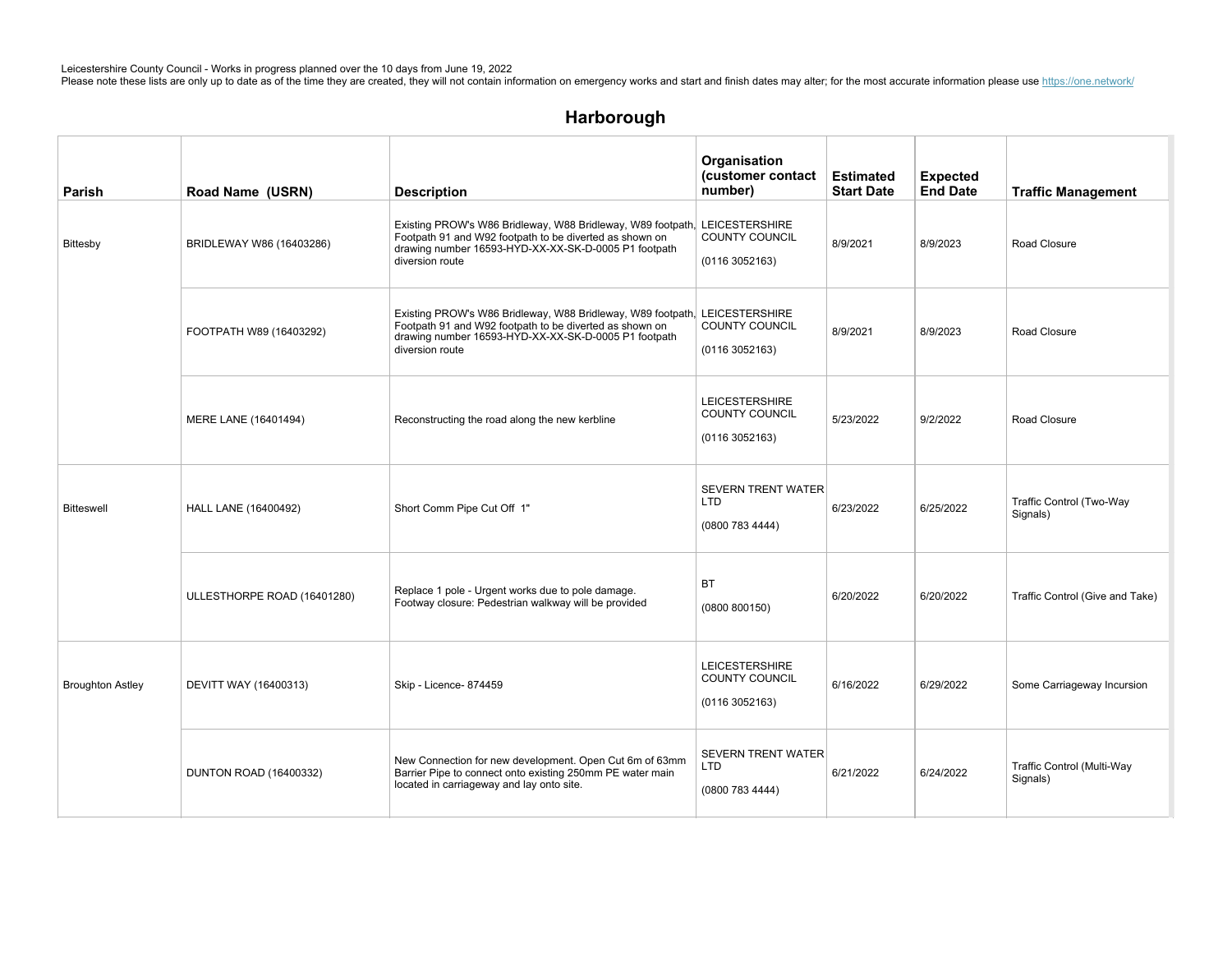# Harborough

| Parish                  | Road Name (USRN)              | <b>Description</b>                                                                                                                                                                                               | Organisation<br>(customer contact<br>number)                    | <b>Estimated</b><br><b>Start Date</b> | <b>Expected</b><br><b>End Date</b> | <b>Traffic Management</b>              |
|-------------------------|-------------------------------|------------------------------------------------------------------------------------------------------------------------------------------------------------------------------------------------------------------|-----------------------------------------------------------------|---------------------------------------|------------------------------------|----------------------------------------|
| Bittesby                | BRIDLEWAY W86 (16403286)      | Existing PROW's W86 Bridleway, W88 Bridleway, W89 footpath, LEICESTERSHIRE<br>Footpath 91 and W92 footpath to be diverted as shown on<br>drawing number 16593-HYD-XX-XX-SK-D-0005 P1 footpath<br>diversion route | COUNTY COUNCIL<br>(01163052163)                                 | 8/9/2021                              | 8/9/2023                           | Road Closure                           |
|                         | FOOTPATH W89 (16403292)       | Existing PROW's W86 Bridleway, W88 Bridleway, W89 footpath, LEICESTERSHIRE<br>Footpath 91 and W92 footpath to be diverted as shown on<br>drawing number 16593-HYD-XX-XX-SK-D-0005 P1 footpath<br>diversion route | <b>COUNTY COUNCIL</b><br>(01163052163)                          | 8/9/2021                              | 8/9/2023                           | Road Closure                           |
|                         | MERE LANE (16401494)          | Reconstructing the road along the new kerbline                                                                                                                                                                   | <b>LEICESTERSHIRE</b><br><b>COUNTY COUNCIL</b><br>(01163052163) | 5/23/2022                             | 9/2/2022                           | Road Closure                           |
| <b>Bitteswell</b>       | <b>HALL LANE (16400492)</b>   | Short Comm Pipe Cut Off 1"                                                                                                                                                                                       | <b>SEVERN TRENT WATER</b><br><b>LTD</b><br>(0800 783 4444)      | 6/23/2022                             | 6/25/2022                          | Traffic Control (Two-Way<br>Signals)   |
|                         | ULLESTHORPE ROAD (16401280)   | Replace 1 pole - Urgent works due to pole damage.<br>Footway closure: Pedestrian walkway will be provided                                                                                                        | <b>BT</b><br>(0800 800150)                                      | 6/20/2022                             | 6/20/2022                          | Traffic Control (Give and Take)        |
| <b>Broughton Astley</b> | DEVITT WAY (16400313)         | Skip - Licence- 874459                                                                                                                                                                                           | <b>LEICESTERSHIRE</b><br><b>COUNTY COUNCIL</b><br>(01163052163) | 6/16/2022                             | 6/29/2022                          | Some Carriageway Incursion             |
|                         | <b>DUNTON ROAD (16400332)</b> | New Connection for new development. Open Cut 6m of 63mm<br>Barrier Pipe to connect onto existing 250mm PE water main<br>located in carriageway and lay onto site.                                                | <b>SEVERN TRENT WATER</b><br><b>LTD</b><br>(0800 783 4444)      | 6/21/2022                             | 6/24/2022                          | Traffic Control (Multi-Way<br>Signals) |

 $M_{\rm{max}}$  scaffolding-87400772) scaffolding-874006 LEICESTERSHIRE Licence-874006 LEICESTERSHIRE Licence-874006 LEICESTERSHIP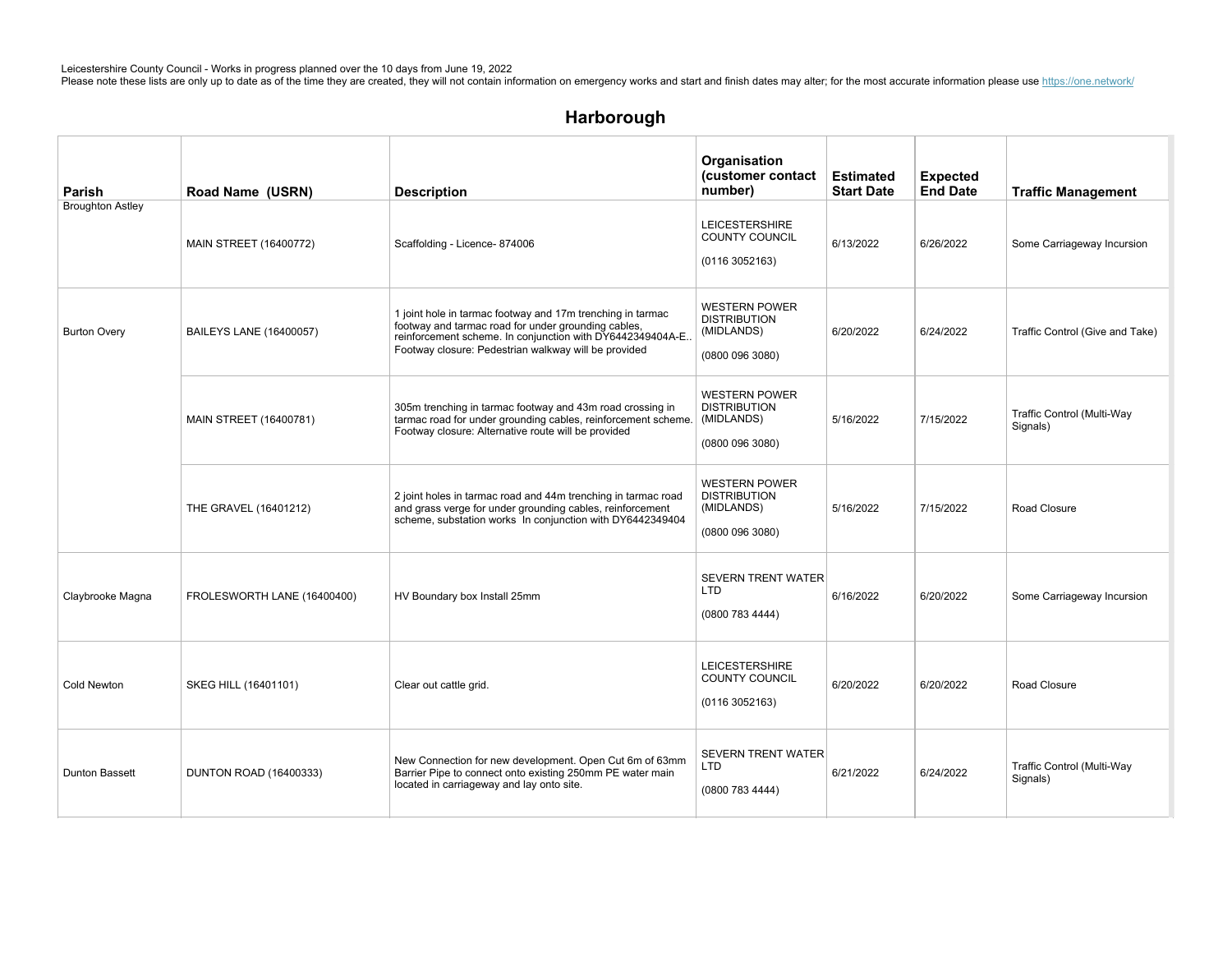# Harborough

| Parish                  | Road Name (USRN)               | <b>Description</b>                                                                                                                                                                                                                     | Organisation<br>(customer contact<br>number)                                 | <b>Estimated</b><br><b>Start Date</b> | <b>Expected</b><br><b>End Date</b> | <b>Traffic Management</b>              |
|-------------------------|--------------------------------|----------------------------------------------------------------------------------------------------------------------------------------------------------------------------------------------------------------------------------------|------------------------------------------------------------------------------|---------------------------------------|------------------------------------|----------------------------------------|
| <b>Broughton Astley</b> | <b>MAIN STREET (16400772)</b>  | Scaffolding - Licence- 874006                                                                                                                                                                                                          | <b>LEICESTERSHIRE</b><br>COUNTY COUNCIL<br>(0116 3052163)                    | 6/13/2022                             | 6/26/2022                          | Some Carriageway Incursion             |
| <b>Burton Overy</b>     | <b>BAILEYS LANE (16400057)</b> | 1 joint hole in tarmac footway and 17m trenching in tarmac<br>footway and tarmac road for under grounding cables,<br>reinforcement scheme. In conjunction with DY6442349404A-E<br>Footway closure: Pedestrian walkway will be provided | <b>WESTERN POWER</b><br><b>DISTRIBUTION</b><br>(MIDLANDS)<br>(0800 096 3080) | 6/20/2022                             | 6/24/2022                          | Traffic Control (Give and Take)        |
|                         | MAIN STREET (16400781)         | 305m trenching in tarmac footway and 43m road crossing in<br>tarmac road for under grounding cables, reinforcement scheme. (MIDLANDS)<br>Footway closure: Alternative route will be provided                                           | <b>WESTERN POWER</b><br><b>DISTRIBUTION</b><br>(0800 096 3080)               | 5/16/2022                             | 7/15/2022                          | Traffic Control (Multi-Way<br>Signals) |
|                         | THE GRAVEL (16401212)          | 2 joint holes in tarmac road and 44m trenching in tarmac road<br>and grass verge for under grounding cables, reinforcement<br>scheme, substation works In conjunction with DY6442349404                                                | <b>WESTERN POWER</b><br><b>DISTRIBUTION</b><br>(MIDLANDS)<br>(0800 096 3080) | 5/16/2022                             | 7/15/2022                          | Road Closure                           |
| Claybrooke Magna        | FROLESWORTH LANE (16400400)    | HV Boundary box Install 25mm                                                                                                                                                                                                           | <b>SEVERN TRENT WATER</b><br>LTD<br>(0800 783 4444)                          | 6/16/2022                             | 6/20/2022                          | Some Carriageway Incursion             |
| <b>Cold Newton</b>      | SKEG HILL (16401101)           | Clear out cattle grid.                                                                                                                                                                                                                 | <b>LEICESTERSHIRE</b><br>COUNTY COUNCIL<br>(0116 3052163)                    | 6/20/2022                             | 6/20/2022                          | Road Closure                           |
| <b>Dunton Bassett</b>   | <b>DUNTON ROAD (16400333)</b>  | New Connection for new development. Open Cut 6m of 63mm<br>Barrier Pipe to connect onto existing 250mm PE water main<br>located in carriageway and lay onto site.                                                                      | <b>SEVERN TRENT WATER</b><br>LTD<br>(0800 783 4444)                          | 6/21/2022                             | 6/24/2022                          | Traffic Control (Multi-Way<br>Signals) |

SEVERNTRENTWATER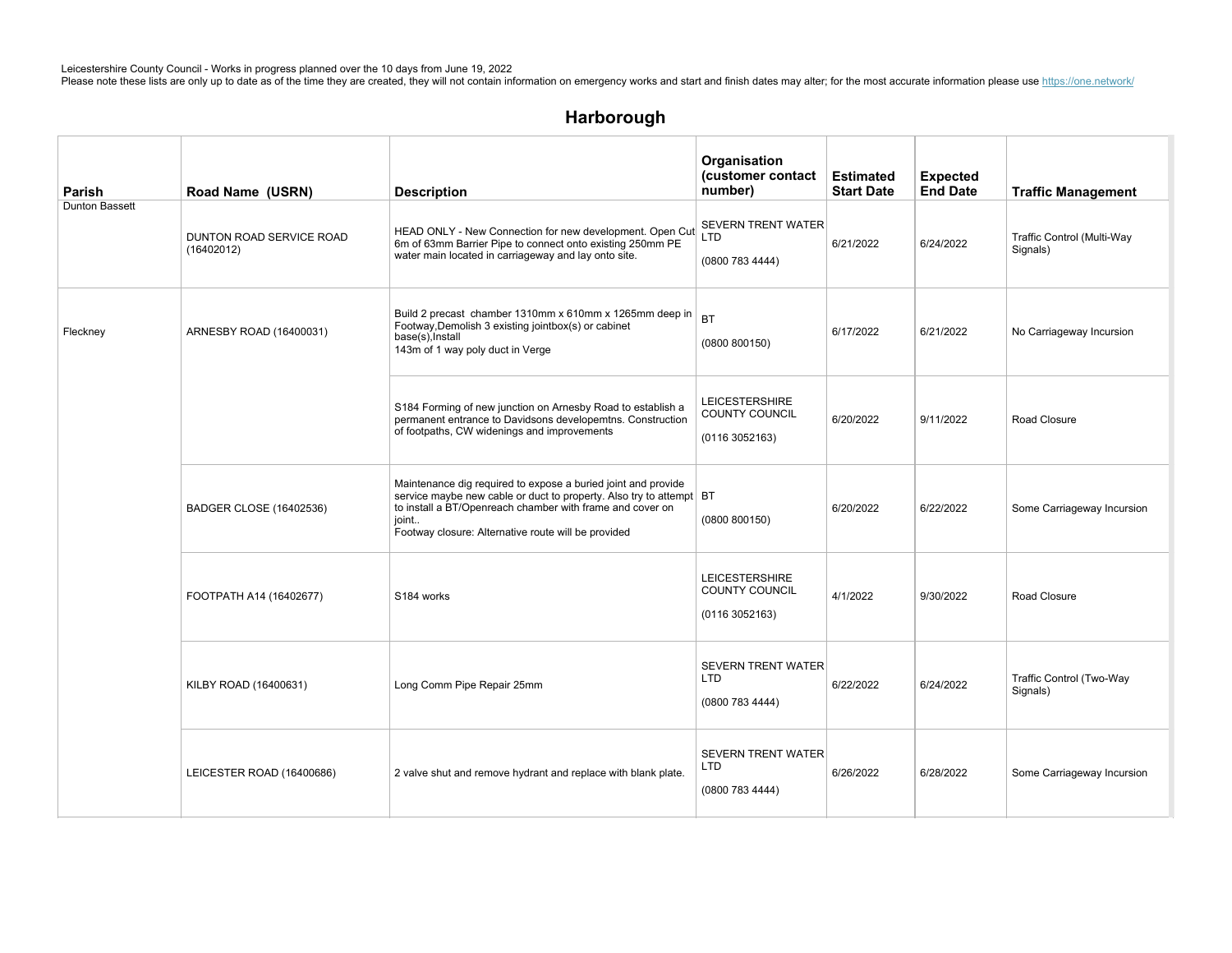| Parish         | Road Name (USRN)                       | <b>Description</b>                                                                                                                                                                                                                                                | Organisation<br>(customer contact<br>number)                    | <b>Estimated</b><br><b>Start Date</b> | <b>Expected</b><br><b>End Date</b> | <b>Traffic Management</b>              |
|----------------|----------------------------------------|-------------------------------------------------------------------------------------------------------------------------------------------------------------------------------------------------------------------------------------------------------------------|-----------------------------------------------------------------|---------------------------------------|------------------------------------|----------------------------------------|
| Dunton Bassett | DUNTON ROAD SERVICE ROAD<br>(16402012) | HEAD ONLY - New Connection for new development. Open Cut<br>6m of 63mm Barrier Pipe to connect onto existing 250mm PE<br>water main located in carriageway and lay onto site.                                                                                     | <b>SEVERN TRENT WATER</b><br><b>LTD</b><br>(0800 783 4444)      | 6/21/2022                             | 6/24/2022                          | Traffic Control (Multi-Way<br>Signals) |
| Fleckney       | ARNESBY ROAD (16400031)                | Build 2 precast chamber 1310mm x 610mm x 1265mm deep in<br>Footway, Demolish 3 existing jointbox(s) or cabinet<br>base(s), Install<br>143m of 1 way poly duct in Verge                                                                                            | <b>BT</b><br>(0800 800150)                                      | 6/17/2022                             | 6/21/2022                          | No Carriageway Incursion               |
|                |                                        | S184 Forming of new junction on Arnesby Road to establish a<br>permanent entrance to Davidsons developemtns. Construction<br>of footpaths, CW widenings and improvements                                                                                          | <b>LEICESTERSHIRE</b><br><b>COUNTY COUNCIL</b><br>(01163052163) | 6/20/2022                             | 9/11/2022                          | Road Closure                           |
|                | BADGER CLOSE (16402536)                | Maintenance dig required to expose a buried joint and provide<br>service maybe new cable or duct to property. Also try to attempt BT<br>to install a BT/Openreach chamber with frame and cover on<br>joint<br>Footway closure: Alternative route will be provided | (0800 800150)                                                   | 6/20/2022                             | 6/22/2022                          | Some Carriageway Incursion             |
|                | FOOTPATH A14 (16402677)                | S184 works                                                                                                                                                                                                                                                        | <b>LEICESTERSHIRE</b><br>COUNTY COUNCIL<br>(01163052163)        | 4/1/2022                              | 9/30/2022                          | Road Closure                           |
|                | KILBY ROAD (16400631)                  | Long Comm Pipe Repair 25mm                                                                                                                                                                                                                                        | <b>SEVERN TRENT WATER</b><br><b>LTD</b><br>(0800 783 4444)      | 6/22/2022                             | 6/24/2022                          | Traffic Control (Two-Way<br>Signals)   |
|                | LEICESTER ROAD (16400686)              | 2 valve shut and remove hydrant and replace with blank plate.                                                                                                                                                                                                     | <b>SEVERN TRENT WATER</b><br>LTD<br>(0800 783 4444)             | 6/26/2022                             | 6/28/2022                          | Some Carriageway Incursion             |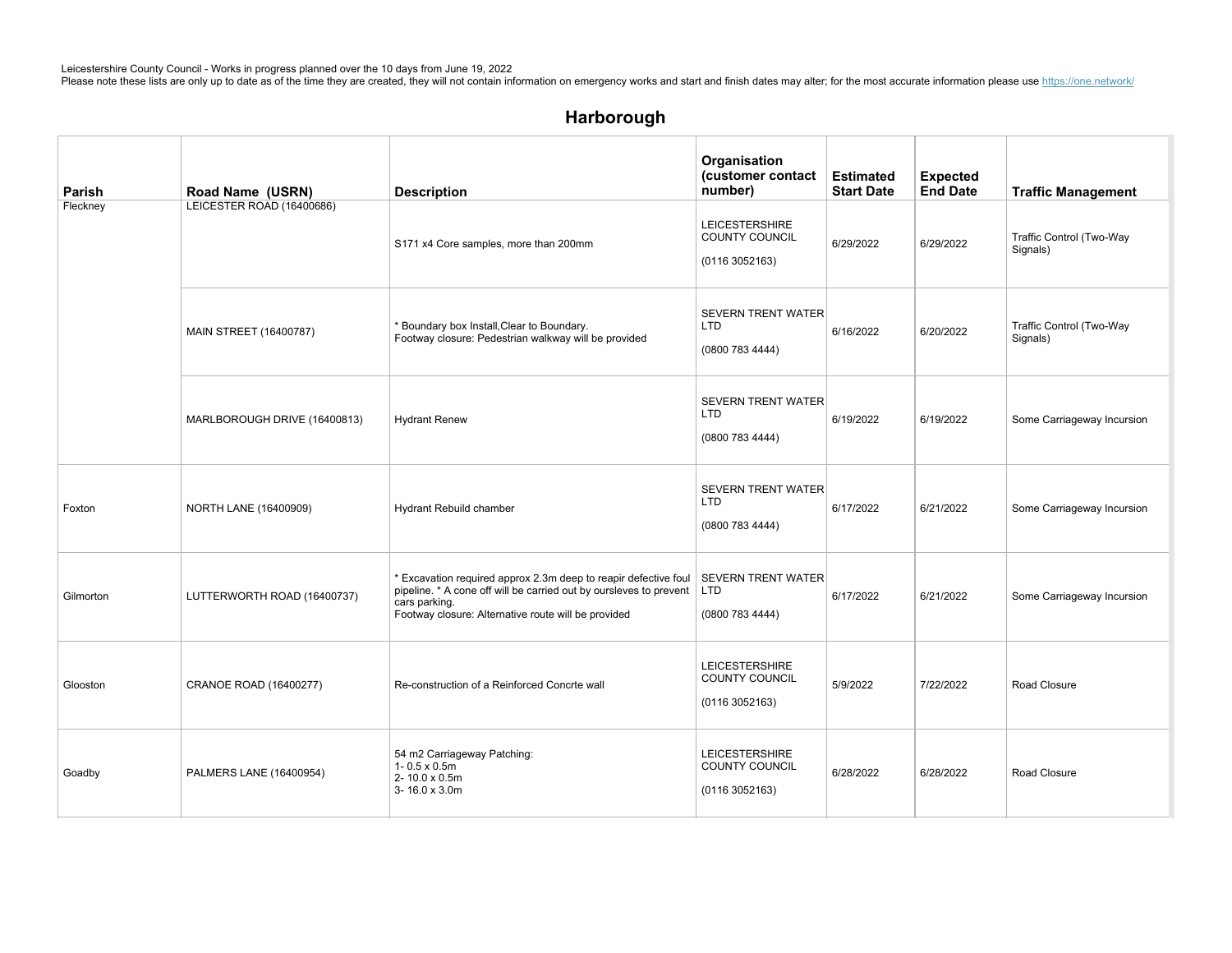# Harborough

| Parish    | Road Name (USRN)             | <b>Description</b>                                                                                                                                                                                                  | Organisation<br>(customer contact<br>number)                     | <b>Estimated</b><br><b>Start Date</b> | <b>Expected</b><br><b>End Date</b> | <b>Traffic Management</b>            |
|-----------|------------------------------|---------------------------------------------------------------------------------------------------------------------------------------------------------------------------------------------------------------------|------------------------------------------------------------------|---------------------------------------|------------------------------------|--------------------------------------|
| Fleckney  | LEICESTER ROAD (16400686)    | S171 x4 Core samples, more than 200mm                                                                                                                                                                               | <b>LEICESTERSHIRE</b><br><b>COUNTY COUNCIL</b><br>(01163052163)  | 6/29/2022                             | 6/29/2022                          | Traffic Control (Two-Way<br>Signals) |
|           | MAIN STREET (16400787)       | * Boundary box Install, Clear to Boundary.<br>Footway closure: Pedestrian walkway will be provided                                                                                                                  | <b>SEVERN TRENT WATER</b><br><b>LTD</b><br>(0800 783 4444)       | 6/16/2022                             | 6/20/2022                          | Traffic Control (Two-Way<br>Signals) |
|           | MARLBOROUGH DRIVE (16400813) | <b>Hydrant Renew</b>                                                                                                                                                                                                | <b>SEVERN TRENT WATER</b><br><b>LTD</b><br>(0800 783 4444)       | 6/19/2022                             | 6/19/2022                          | Some Carriageway Incursion           |
| Foxton    | NORTH LANE (16400909)        | Hydrant Rebuild chamber                                                                                                                                                                                             | <b>SEVERN TRENT WATER</b><br>LTD<br>(0800 783 4444)              | 6/17/2022                             | 6/21/2022                          | Some Carriageway Incursion           |
| Gilmorton | LUTTERWORTH ROAD (16400737)  | * Excavation required approx 2.3m deep to reapir defective foul<br>pipeline. * A cone off will be carried out by oursleves to prevent   LTD<br>cars parking.<br>Footway closure: Alternative route will be provided | <b>SEVERN TRENT WATER</b><br>(0800 783 4444)                     | 6/17/2022                             | 6/21/2022                          | Some Carriageway Incursion           |
| Glooston  | CRANOE ROAD (16400277)       | Re-construction of a Reinforced Concrte wall                                                                                                                                                                        | <b>LEICESTERSHIRE</b><br><b>COUNTY COUNCIL</b><br>(0116 3052163) | 5/9/2022                              | 7/22/2022                          | Road Closure                         |
| Goadby    | PALMERS LANE (16400954)      | 54 m2 Carriageway Patching:<br>$1 - 0.5 \times 0.5$ m<br>2-10.0 x 0.5m<br>3-16.0 x 3.0m                                                                                                                             | <b>LEICESTERSHIRE</b><br>COUNTY COUNCIL<br>(01163052163)         | 6/28/2022                             | 6/28/2022                          | Road Closure                         |

 $G_{\rm eff}$  , and  $G_{\rm eff}$  are  $874.874$  and  $874.874$  Leicence-Branch skip-Licence-are  $874.874$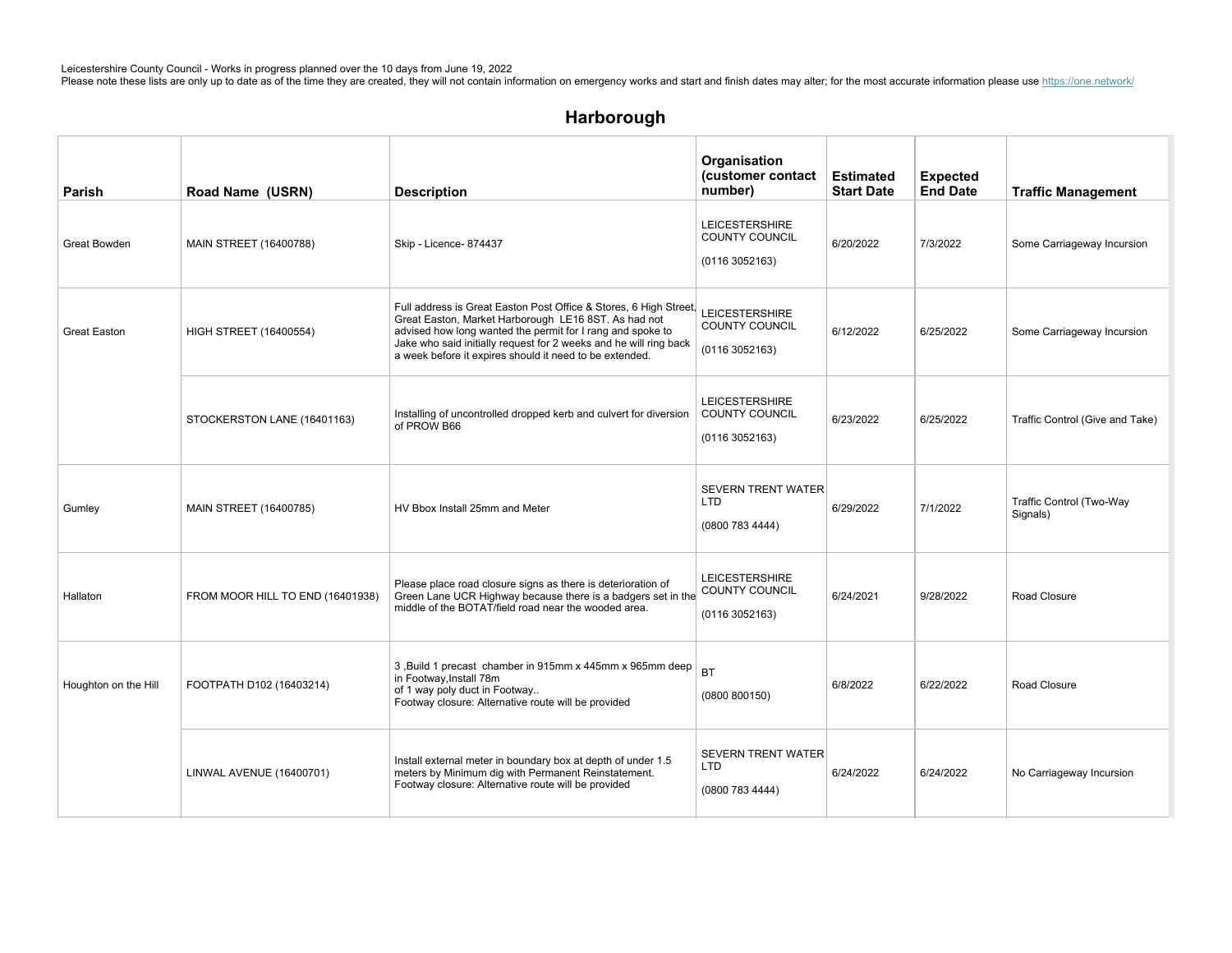| Parish               | Road Name (USRN)                 | <b>Description</b>                                                                                                                                                                                                                                                                                                      | Organisation<br>(customer contact<br>number)                    | <b>Estimated</b><br><b>Start Date</b> | <b>Expected</b><br><b>End Date</b> | <b>Traffic Management</b>            |
|----------------------|----------------------------------|-------------------------------------------------------------------------------------------------------------------------------------------------------------------------------------------------------------------------------------------------------------------------------------------------------------------------|-----------------------------------------------------------------|---------------------------------------|------------------------------------|--------------------------------------|
| Great Bowden         | MAIN STREET (16400788)           | Skip - Licence- 874437                                                                                                                                                                                                                                                                                                  | <b>LEICESTERSHIRE</b><br>COUNTY COUNCIL<br>(01163052163)        | 6/20/2022                             | 7/3/2022                           | Some Carriageway Incursion           |
| <b>Great Easton</b>  | <b>HIGH STREET (16400554)</b>    | Full address is Great Easton Post Office & Stores, 6 High Street,<br>Great Easton, Market Harborough LE16 8ST. As had not<br>advised how long wanted the permit for I rang and spoke to<br>Jake who said initially request for 2 weeks and he will ring back<br>a week before it expires should it need to be extended. | <b>LEICESTERSHIRE</b><br>COUNTY COUNCIL<br>(0116 3052163)       | 6/12/2022                             | 6/25/2022                          | Some Carriageway Incursion           |
|                      | STOCKERSTON LANE (16401163)      | Installing of uncontrolled dropped kerb and culvert for diversion<br>of PROW B66                                                                                                                                                                                                                                        | <b>LEICESTERSHIRE</b><br><b>COUNTY COUNCIL</b><br>(01163052163) | 6/23/2022                             | 6/25/2022                          | Traffic Control (Give and Take)      |
| Gumley               | MAIN STREET (16400785)           | HV Bbox Install 25mm and Meter                                                                                                                                                                                                                                                                                          | <b>SEVERN TRENT WATER</b><br><b>LTD</b><br>(0800 783 4444)      | 6/29/2022                             | 7/1/2022                           | Traffic Control (Two-Way<br>Signals) |
| Hallaton             | FROM MOOR HILL TO END (16401938) | Please place road closure signs as there is deterioration of<br>Green Lane UCR Highway because there is a badgers set in the<br>middle of the BOTAT/field road near the wooded area.                                                                                                                                    | <b>LEICESTERSHIRE</b><br>COUNTY COUNCIL<br>(0116 3052163)       | 6/24/2021                             | 9/28/2022                          | Road Closure                         |
| Houghton on the Hill | FOOTPATH D102 (16403214)         | 3, Build 1 precast chamber in 915mm x 445mm x 965mm deep<br>in Footway, Install 78m<br>of 1 way poly duct in Footway<br>Footway closure: Alternative route will be provided                                                                                                                                             | <b>BT</b><br>(0800 800150)                                      | 6/8/2022                              | 6/22/2022                          | Road Closure                         |
|                      | LINWAL AVENUE (16400701)         | Install external meter in boundary box at depth of under 1.5<br>meters by Minimum dig with Permanent Reinstatement.<br>Footway closure: Alternative route will be provided                                                                                                                                              | <b>SEVERN TRENT WATER</b><br><b>LTD</b><br>(0800 783 4444)      | 6/24/2022                             | 6/24/2022                          | No Carriageway Incursion             |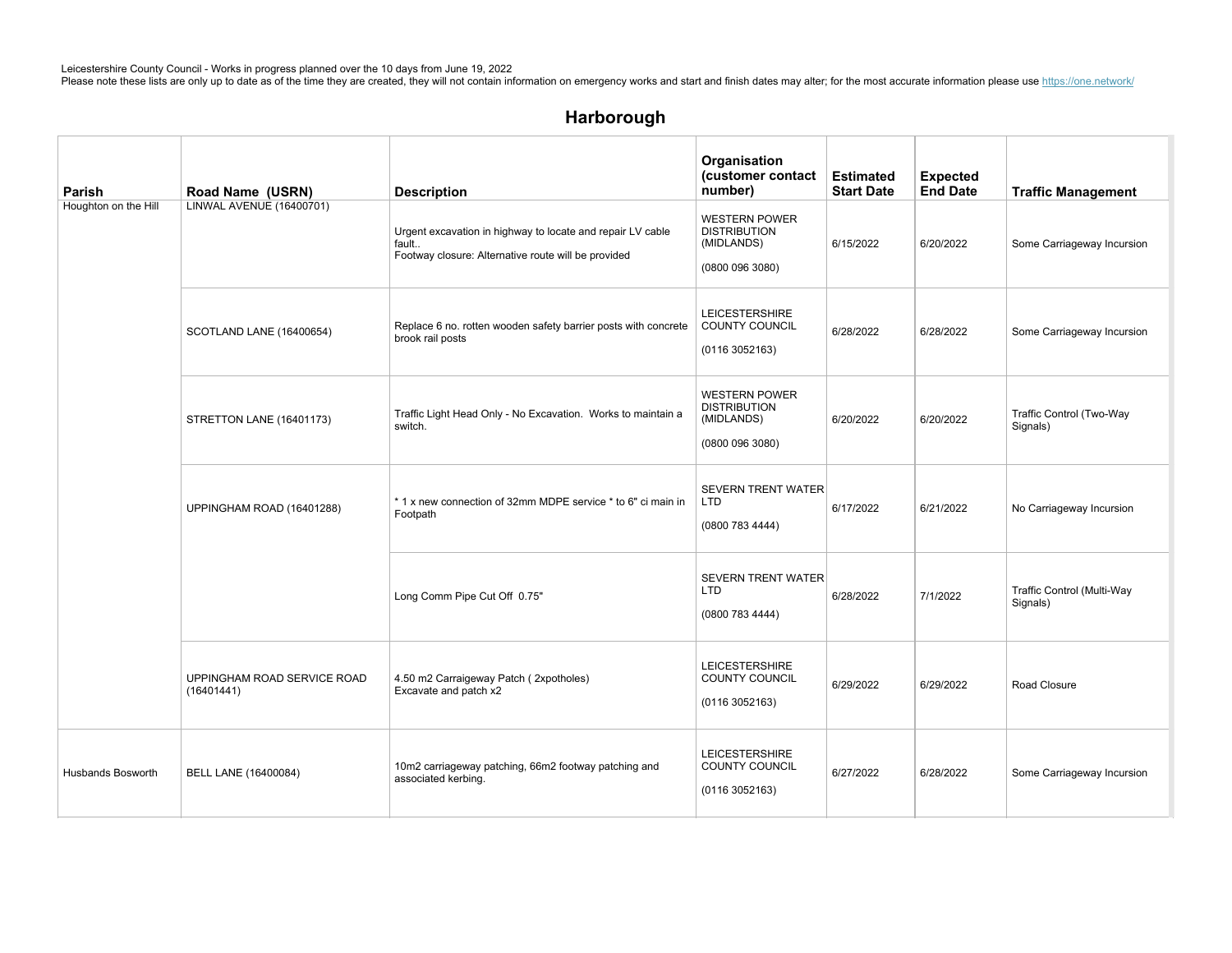| <b>Parish</b>            | Road Name (USRN)                          | <b>Description</b>                                                                                                         | Organisation<br>(customer contact<br>number)                                 | <b>Estimated</b><br><b>Start Date</b> | <b>Expected</b><br><b>End Date</b> | <b>Traffic Management</b>              |
|--------------------------|-------------------------------------------|----------------------------------------------------------------------------------------------------------------------------|------------------------------------------------------------------------------|---------------------------------------|------------------------------------|----------------------------------------|
| Houghton on the Hill     | LINWAL AVENUE (16400701)                  | Urgent excavation in highway to locate and repair LV cable<br>fault<br>Footway closure: Alternative route will be provided | <b>WESTERN POWER</b><br><b>DISTRIBUTION</b><br>(MIDLANDS)<br>(0800 096 3080) | 6/15/2022                             | 6/20/2022                          | Some Carriageway Incursion             |
|                          | SCOTLAND LANE (16400654)                  | Replace 6 no. rotten wooden safety barrier posts with concrete<br>brook rail posts                                         | <b>LEICESTERSHIRE</b><br>COUNTY COUNCIL<br>(01163052163)                     | 6/28/2022                             | 6/28/2022                          | Some Carriageway Incursion             |
|                          | STRETTON LANE (16401173)                  | Traffic Light Head Only - No Excavation. Works to maintain a<br>switch.                                                    | <b>WESTERN POWER</b><br><b>DISTRIBUTION</b><br>(MIDLANDS)<br>(0800 096 3080) | 6/20/2022                             | 6/20/2022                          | Traffic Control (Two-Way<br>Signals)   |
|                          | UPPINGHAM ROAD (16401288)                 | *1 x new connection of 32mm MDPE service * to 6" ci main in<br>Footpath                                                    | <b>SEVERN TRENT WATER</b><br>LTD<br>(0800 783 4444)                          | 6/17/2022                             | 6/21/2022                          | No Carriageway Incursion               |
|                          |                                           | Long Comm Pipe Cut Off 0.75"                                                                                               | <b>SEVERN TRENT WATER</b><br><b>LTD</b><br>(0800 783 4444)                   | 6/28/2022                             | 7/1/2022                           | Traffic Control (Multi-Way<br>Signals) |
|                          | UPPINGHAM ROAD SERVICE ROAD<br>(16401441) | 4.50 m2 Carraigeway Patch (2xpotholes)<br>Excavate and patch x2                                                            | <b>LEICESTERSHIRE</b><br>COUNTY COUNCIL<br>(01163052163)                     | 6/29/2022                             | 6/29/2022                          | Road Closure                           |
| <b>Husbands Bosworth</b> | BELL LANE (16400084)                      | 10m2 carriageway patching, 66m2 footway patching and<br>associated kerbing.                                                | <b>LEICESTERSHIRE</b><br>COUNTY COUNCIL<br>(01163052163)                     | 6/27/2022                             | 6/28/2022                          | Some Carriageway Incursion             |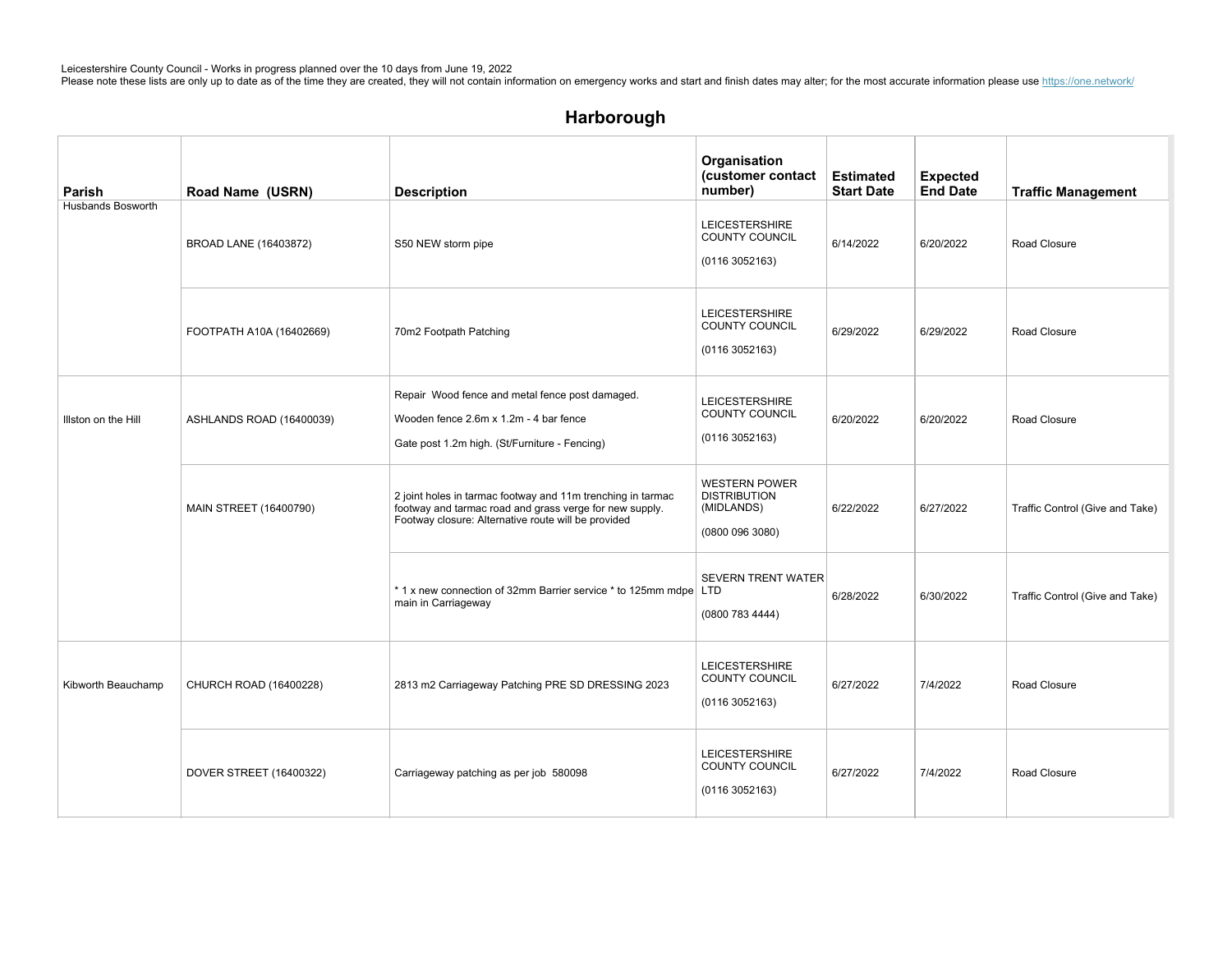| Parish                   | Road Name (USRN)         | <b>Description</b>                                                                                                                                                            | Organisation<br>(customer contact<br>number)                                 | <b>Estimated</b><br><b>Start Date</b> | <b>Expected</b><br><b>End Date</b> | <b>Traffic Management</b>       |
|--------------------------|--------------------------|-------------------------------------------------------------------------------------------------------------------------------------------------------------------------------|------------------------------------------------------------------------------|---------------------------------------|------------------------------------|---------------------------------|
| <b>Husbands Bosworth</b> | BROAD LANE (16403872)    | S50 NEW storm pipe                                                                                                                                                            | <b>LEICESTERSHIRE</b><br><b>COUNTY COUNCIL</b><br>(01163052163)              | 6/14/2022                             | 6/20/2022                          | Road Closure                    |
|                          | FOOTPATH A10A (16402669) | 70m2 Footpath Patching                                                                                                                                                        | <b>LEICESTERSHIRE</b><br>COUNTY COUNCIL<br>(01163052163)                     | 6/29/2022                             | 6/29/2022                          | Road Closure                    |
| Illston on the Hill      | ASHLANDS ROAD (16400039) | Repair Wood fence and metal fence post damaged.<br>Wooden fence 2.6m x 1.2m - 4 bar fence<br>Gate post 1.2m high. (St/Furniture - Fencing)                                    | <b>LEICESTERSHIRE</b><br>COUNTY COUNCIL<br>(01163052163)                     | 6/20/2022                             | 6/20/2022                          | Road Closure                    |
|                          | MAIN STREET (16400790)   | 2 joint holes in tarmac footway and 11m trenching in tarmac<br>footway and tarmac road and grass verge for new supply.<br>Footway closure: Alternative route will be provided | <b>WESTERN POWER</b><br><b>DISTRIBUTION</b><br>(MIDLANDS)<br>(0800 096 3080) | 6/22/2022                             | 6/27/2022                          | Traffic Control (Give and Take) |
|                          |                          | *1 x new connection of 32mm Barrier service * to 125mm mdpe LTD<br>main in Carriageway                                                                                        | <b>SEVERN TRENT WATER</b><br>(0800 783 4444)                                 | 6/28/2022                             | 6/30/2022                          | Traffic Control (Give and Take) |
| Kibworth Beauchamp       | CHURCH ROAD (16400228)   | 2813 m2 Carriageway Patching PRE SD DRESSING 2023                                                                                                                             | <b>LEICESTERSHIRE</b><br>COUNTY COUNCIL<br>(01163052163)                     | 6/27/2022                             | 7/4/2022                           | Road Closure                    |
|                          | DOVER STREET (16400322)  | Carriageway patching as per job 580098                                                                                                                                        | <b>LEICESTERSHIRE</b><br>COUNTY COUNCIL<br>(01163052163)                     | 6/27/2022                             | 7/4/2022                           | Road Closure                    |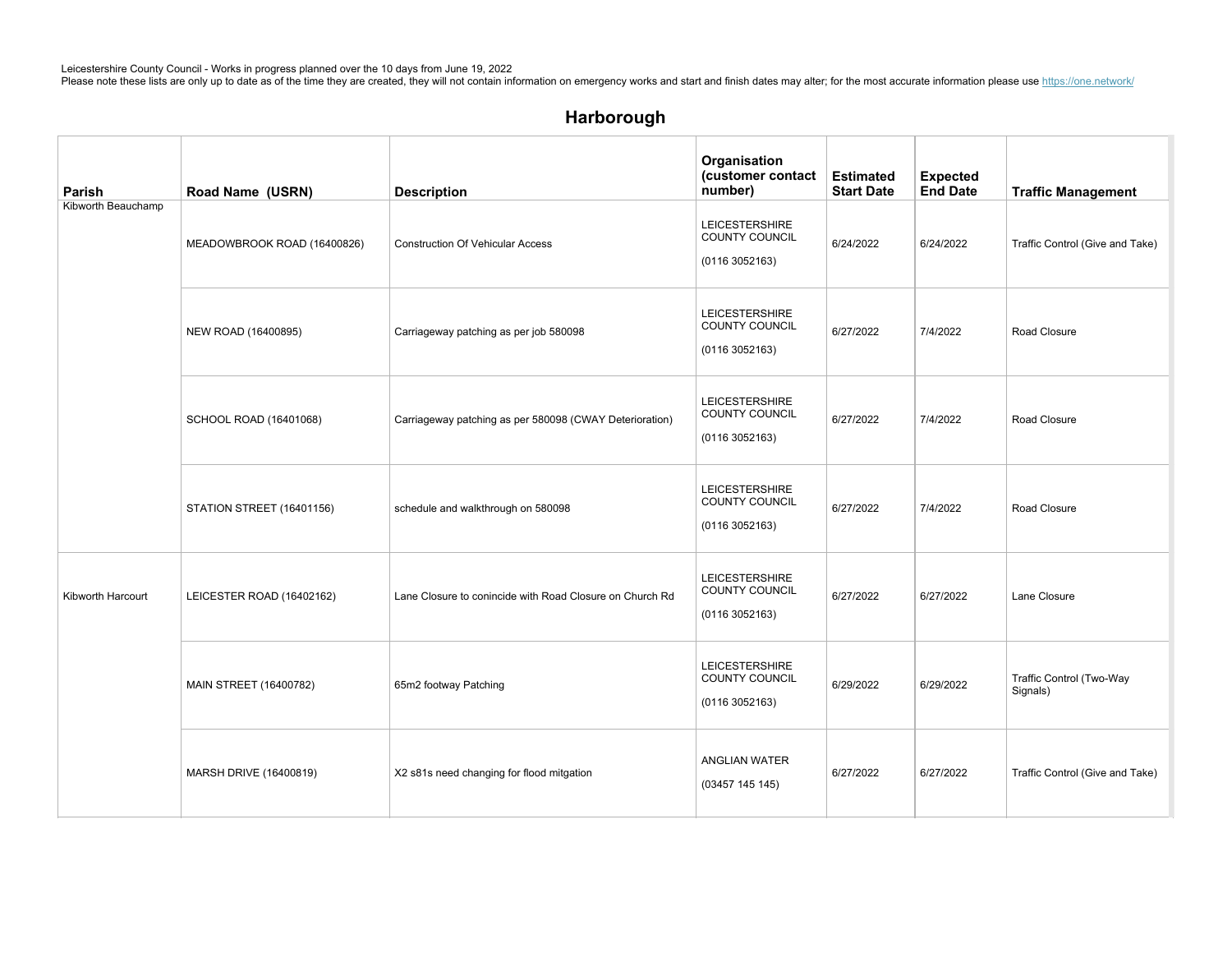| Parish             | Road Name (USRN)            | <b>Description</b>                                       | Organisation<br>(customer contact<br>number)             | <b>Estimated</b><br><b>Start Date</b> | <b>Expected</b><br><b>End Date</b> | <b>Traffic Management</b>            |
|--------------------|-----------------------------|----------------------------------------------------------|----------------------------------------------------------|---------------------------------------|------------------------------------|--------------------------------------|
| Kibworth Beauchamp | MEADOWBROOK ROAD (16400826) | <b>Construction Of Vehicular Access</b>                  | <b>LEICESTERSHIRE</b><br>COUNTY COUNCIL<br>(01163052163) | 6/24/2022                             | 6/24/2022                          | Traffic Control (Give and Take)      |
|                    | NEW ROAD (16400895)         | Carriageway patching as per job 580098                   | <b>LEICESTERSHIRE</b><br>COUNTY COUNCIL<br>(01163052163) | 6/27/2022                             | 7/4/2022                           | Road Closure                         |
|                    | SCHOOL ROAD (16401068)      | Carriageway patching as per 580098 (CWAY Deterioration)  | <b>LEICESTERSHIRE</b><br>COUNTY COUNCIL<br>(01163052163) | 6/27/2022                             | 7/4/2022                           | Road Closure                         |
|                    | STATION STREET (16401156)   | schedule and walkthrough on 580098                       | <b>LEICESTERSHIRE</b><br>COUNTY COUNCIL<br>(01163052163) | 6/27/2022                             | 7/4/2022                           | Road Closure                         |
| Kibworth Harcourt  | LEICESTER ROAD (16402162)   | Lane Closure to conincide with Road Closure on Church Rd | <b>LEICESTERSHIRE</b><br>COUNTY COUNCIL<br>(01163052163) | 6/27/2022                             | 6/27/2022                          | Lane Closure                         |
|                    | MAIN STREET (16400782)      | 65m2 footway Patching                                    | <b>LEICESTERSHIRE</b><br>COUNTY COUNCIL<br>(01163052163) | 6/29/2022                             | 6/29/2022                          | Traffic Control (Two-Way<br>Signals) |
|                    | MARSH DRIVE (16400819)      | X2 s81s need changing for flood mitgation                | <b>ANGLIAN WATER</b><br>(03457 145 145)                  | 6/27/2022                             | 6/27/2022                          | Traffic Control (Give and Take)      |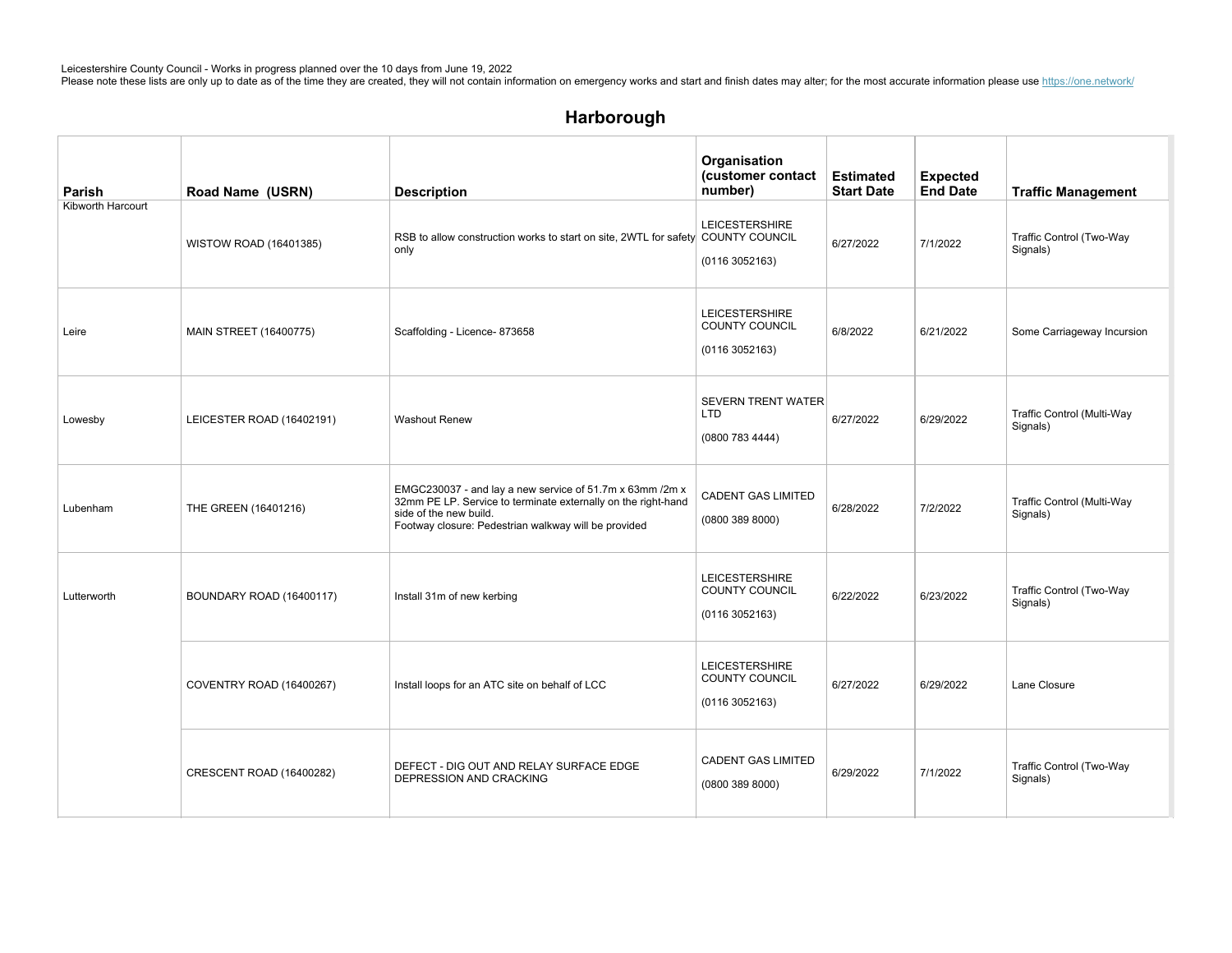# Harborough

| Parish            | Road Name (USRN)          | <b>Description</b>                                                                                                                                                                                          | Organisation<br>(customer contact<br>number)                    | <b>Estimated</b><br><b>Start Date</b> | <b>Expected</b><br><b>End Date</b> | <b>Traffic Management</b>              |
|-------------------|---------------------------|-------------------------------------------------------------------------------------------------------------------------------------------------------------------------------------------------------------|-----------------------------------------------------------------|---------------------------------------|------------------------------------|----------------------------------------|
| Kibworth Harcourt | WISTOW ROAD (16401385)    | RSB to allow construction works to start on site, 2WTL for safety COUNTY COUNCIL<br>only                                                                                                                    | <b>LEICESTERSHIRE</b><br>(0116 3052163)                         | 6/27/2022                             | 7/1/2022                           | Traffic Control (Two-Way<br>Signals)   |
| Leire             | MAIN STREET (16400775)    | Scaffolding - Licence- 873658                                                                                                                                                                               | <b>LEICESTERSHIRE</b><br><b>COUNTY COUNCIL</b><br>(01163052163) | 6/8/2022                              | 6/21/2022                          | Some Carriageway Incursion             |
| Lowesby           | LEICESTER ROAD (16402191) | <b>Washout Renew</b>                                                                                                                                                                                        | <b>SEVERN TRENT WATER</b><br><b>LTD</b><br>(0800 783 4444)      | 6/27/2022                             | 6/29/2022                          | Traffic Control (Multi-Way<br>Signals) |
| Lubenham          | THE GREEN (16401216)      | EMGC230037 - and lay a new service of 51.7m x 63mm /2m x<br>32mm PE LP. Service to terminate externally on the right-hand<br>side of the new build.<br>Footway closure: Pedestrian walkway will be provided | <b>CADENT GAS LIMITED</b><br>(0800 389 8000)                    | 6/28/2022                             | 7/2/2022                           | Traffic Control (Multi-Way<br>Signals) |
| Lutterworth       | BOUNDARY ROAD (16400117)  | Install 31m of new kerbing                                                                                                                                                                                  | <b>LEICESTERSHIRE</b><br><b>COUNTY COUNCIL</b><br>(01163052163) | 6/22/2022                             | 6/23/2022                          | Traffic Control (Two-Way<br>Signals)   |
|                   | COVENTRY ROAD (16400267)  | Install loops for an ATC site on behalf of LCC                                                                                                                                                              | <b>LEICESTERSHIRE</b><br><b>COUNTY COUNCIL</b><br>(01163052163) | 6/27/2022                             | 6/29/2022                          | Lane Closure                           |
|                   | CRESCENT ROAD (16400282)  | DEFECT - DIG OUT AND RELAY SURFACE EDGE<br>DEPRESSION AND CRACKING                                                                                                                                          | <b>CADENT GAS LIMITED</b><br>(08003898000)                      | 6/29/2022                             | 7/1/2022                           | Traffic Control (Two-Way<br>Signals)   |

 $G$ ilmorton $\Gamma$ adi $\Gamma$ adi $\Gamma$ adi $\Gamma$ adi $\Gamma$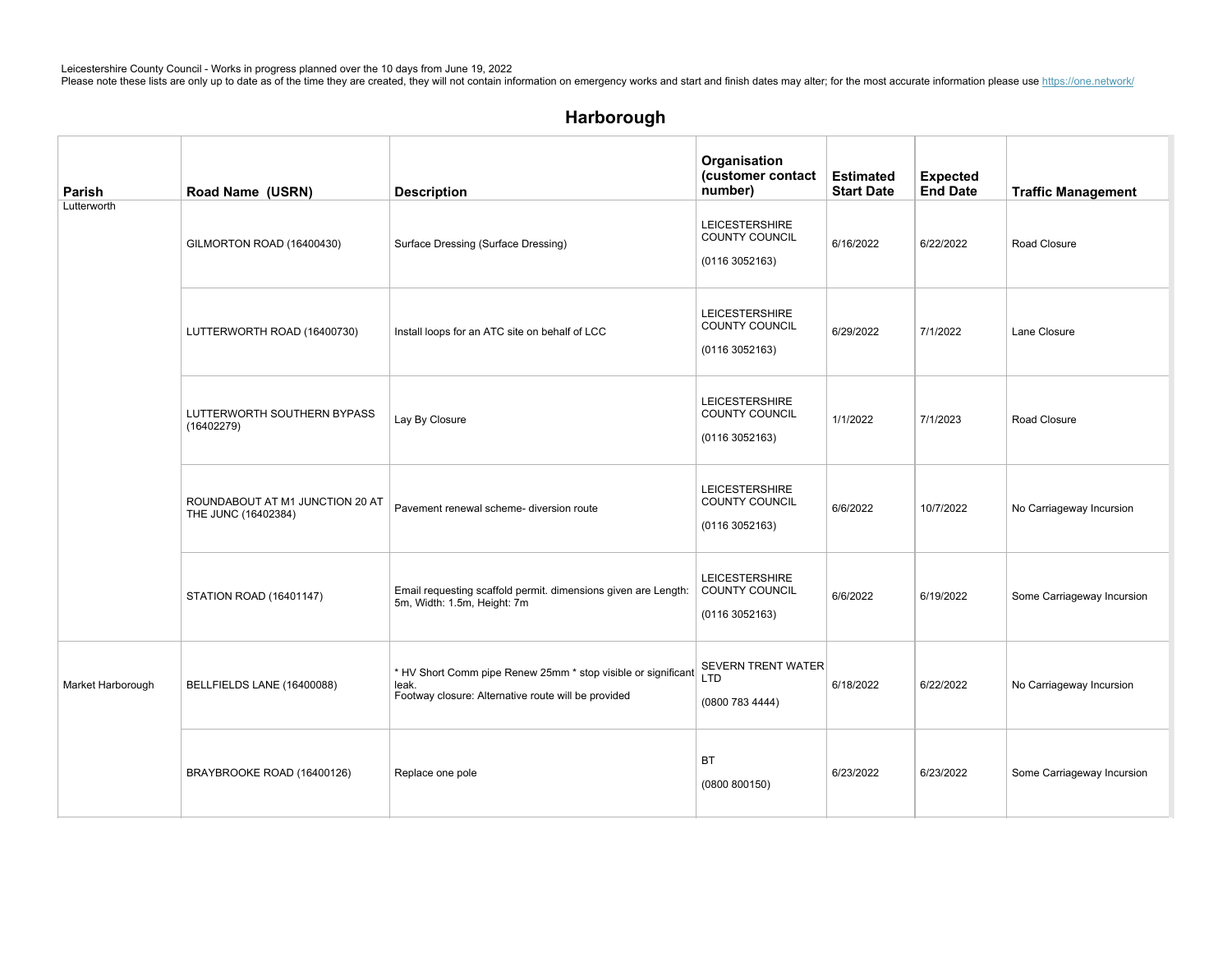| Parish            | Road Name (USRN)                                       | <b>Description</b>                                                                                                            | Organisation<br>(customer contact<br>number)             | <b>Estimated</b><br><b>Start Date</b> | <b>Expected</b><br><b>End Date</b> | <b>Traffic Management</b>  |
|-------------------|--------------------------------------------------------|-------------------------------------------------------------------------------------------------------------------------------|----------------------------------------------------------|---------------------------------------|------------------------------------|----------------------------|
| Lutterworth       | GILMORTON ROAD (16400430)                              | Surface Dressing (Surface Dressing)                                                                                           | <b>LEICESTERSHIRE</b><br>COUNTY COUNCIL<br>(01163052163) | 6/16/2022                             | 6/22/2022                          | Road Closure               |
|                   | LUTTERWORTH ROAD (16400730)                            | Install loops for an ATC site on behalf of LCC                                                                                | <b>LEICESTERSHIRE</b><br>COUNTY COUNCIL<br>(01163052163) | 6/29/2022                             | 7/1/2022                           | Lane Closure               |
|                   | LUTTERWORTH SOUTHERN BYPASS<br>(16402279)              | Lay By Closure                                                                                                                | <b>LEICESTERSHIRE</b><br>COUNTY COUNCIL<br>(01163052163) | 1/1/2022                              | 7/1/2023                           | Road Closure               |
|                   | ROUNDABOUT AT M1 JUNCTION 20 AT<br>THE JUNC (16402384) | Pavement renewal scheme- diversion route                                                                                      | <b>LEICESTERSHIRE</b><br>COUNTY COUNCIL<br>(01163052163) | 6/6/2022                              | 10/7/2022                          | No Carriageway Incursion   |
|                   | STATION ROAD (16401147)                                | Email requesting scaffold permit. dimensions given are Length:<br>5m, Width: 1.5m, Height: 7m                                 | LEICESTERSHIRE<br>COUNTY COUNCIL<br>(01163052163)        | 6/6/2022                              | 6/19/2022                          | Some Carriageway Incursion |
| Market Harborough | BELLFIELDS LANE (16400088)                             | * HV Short Comm pipe Renew 25mm * stop visible or significant<br>leak.<br>Footway closure: Alternative route will be provided | <b>SEVERN TRENT WATER</b><br>LTD<br>(0800 783 4444)      | 6/18/2022                             | 6/22/2022                          | No Carriageway Incursion   |
|                   | BRAYBROOKE ROAD (16400126)                             | Replace one pole                                                                                                              | <b>BT</b><br>(0800 800150)                               | 6/23/2022                             | 6/23/2022                          | Some Carriageway Incursion |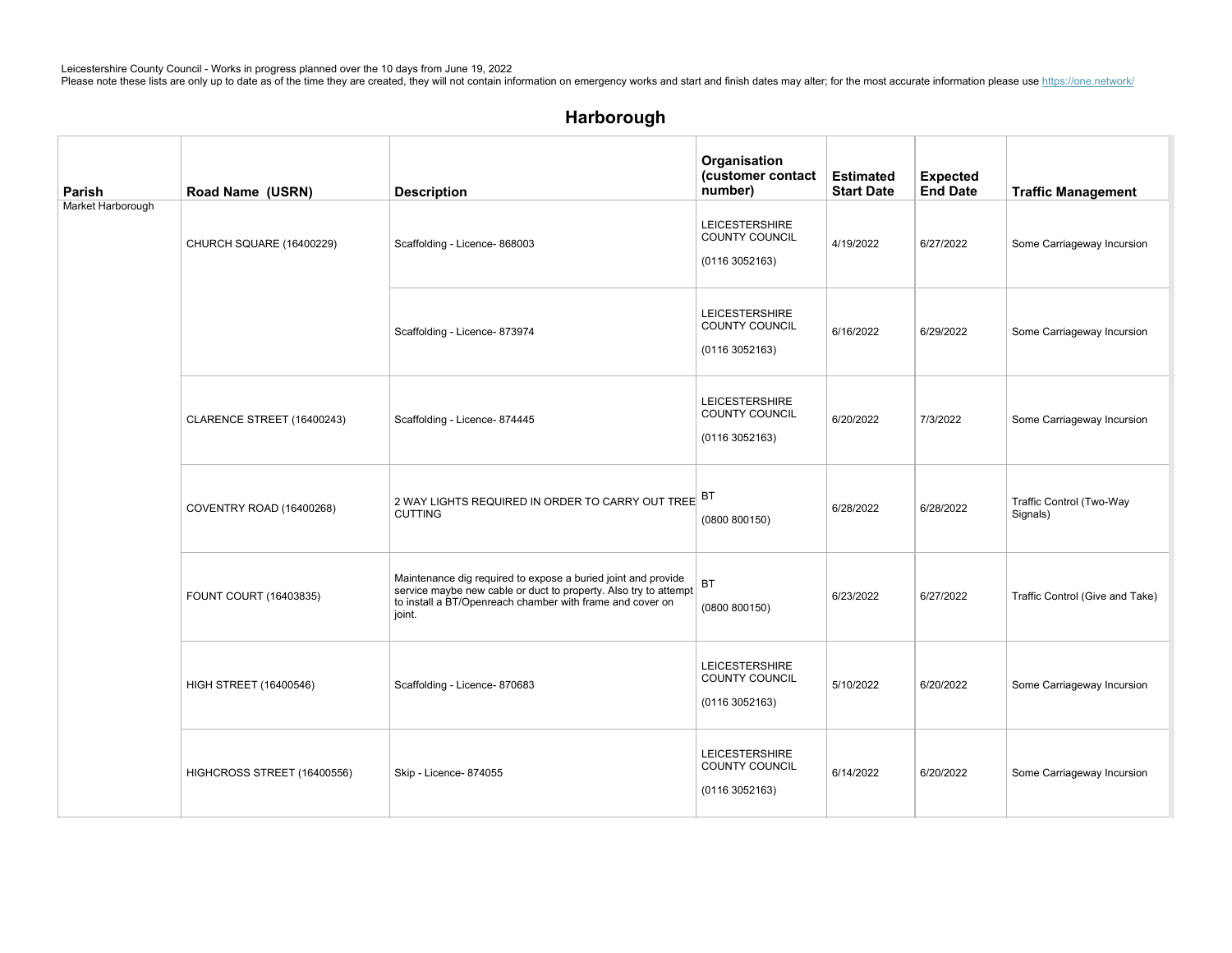| Parish            | Road Name (USRN)              | <b>Description</b>                                                                                                                                                                                       | Organisation<br>(customer contact<br>number)             | <b>Estimated</b><br><b>Start Date</b> | <b>Expected</b><br><b>End Date</b> | <b>Traffic Management</b>            |
|-------------------|-------------------------------|----------------------------------------------------------------------------------------------------------------------------------------------------------------------------------------------------------|----------------------------------------------------------|---------------------------------------|------------------------------------|--------------------------------------|
| Market Harborough | CHURCH SQUARE (16400229)      | Scaffolding - Licence- 868003                                                                                                                                                                            | <b>LEICESTERSHIRE</b><br>COUNTY COUNCIL<br>(01163052163) | 4/19/2022                             | 6/27/2022                          | Some Carriageway Incursion           |
|                   |                               | Scaffolding - Licence- 873974                                                                                                                                                                            | LEICESTERSHIRE<br>COUNTY COUNCIL<br>(01163052163)        | 6/16/2022                             | 6/29/2022                          | Some Carriageway Incursion           |
|                   | CLARENCE STREET (16400243)    | Scaffolding - Licence- 874445                                                                                                                                                                            | LEICESTERSHIRE<br>COUNTY COUNCIL<br>(01163052163)        | 6/20/2022                             | 7/3/2022                           | Some Carriageway Incursion           |
|                   | COVENTRY ROAD (16400268)      | 2 WAY LIGHTS REQUIRED IN ORDER TO CARRY OUT TREE BT<br><b>CUTTING</b>                                                                                                                                    | (0800 800150)                                            | 6/28/2022                             | 6/28/2022                          | Traffic Control (Two-Way<br>Signals) |
|                   | FOUNT COURT (16403835)        | Maintenance dig required to expose a buried joint and provide<br>service maybe new cable or duct to property. Also try to attempt<br>to install a BT/Openreach chamber with frame and cover on<br>joint. | <b>BT</b><br>(0800 800150)                               | 6/23/2022                             | 6/27/2022                          | Traffic Control (Give and Take)      |
|                   | <b>HIGH STREET (16400546)</b> | Scaffolding - Licence- 870683                                                                                                                                                                            | <b>LEICESTERSHIRE</b><br>COUNTY COUNCIL<br>(01163052163) | 5/10/2022                             | 6/20/2022                          | Some Carriageway Incursion           |
|                   | HIGHCROSS STREET (16400556)   | Skip - Licence- 874055                                                                                                                                                                                   | <b>LEICESTERSHIRE</b><br>COUNTY COUNCIL<br>(01163052163) | 6/14/2022                             | 6/20/2022                          | Some Carriageway Incursion           |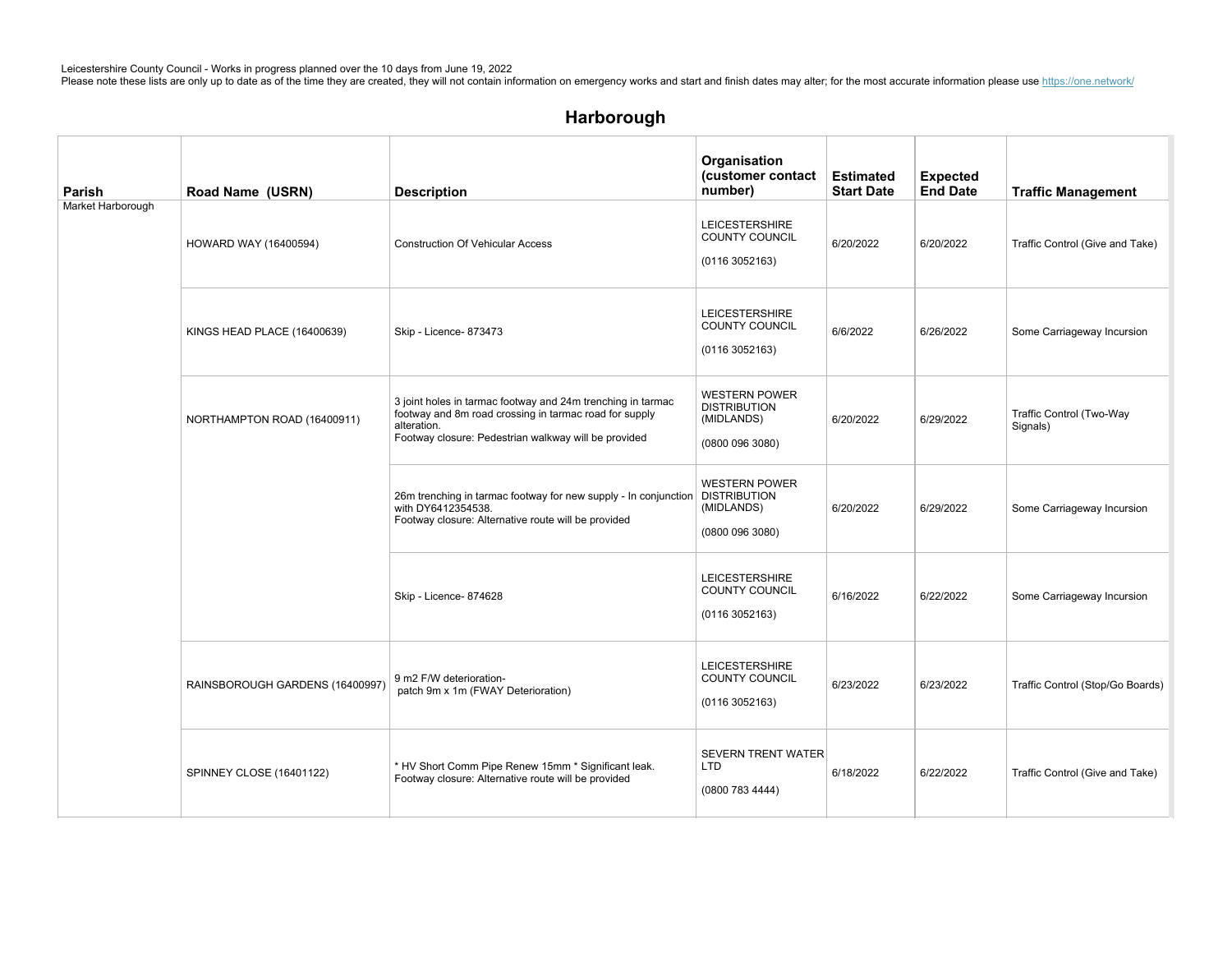| Parish            | Road Name (USRN)                | <b>Description</b>                                                                                                                                                                           | Organisation<br>(customer contact<br>number)                                 | <b>Estimated</b><br><b>Start Date</b> | <b>Expected</b><br><b>End Date</b> | <b>Traffic Management</b>            |
|-------------------|---------------------------------|----------------------------------------------------------------------------------------------------------------------------------------------------------------------------------------------|------------------------------------------------------------------------------|---------------------------------------|------------------------------------|--------------------------------------|
| Market Harborough | HOWARD WAY (16400594)           | <b>Construction Of Vehicular Access</b>                                                                                                                                                      | <b>LEICESTERSHIRE</b><br>COUNTY COUNCIL<br>(01163052163)                     | 6/20/2022                             | 6/20/2022                          | Traffic Control (Give and Take)      |
|                   | KINGS HEAD PLACE (16400639)     | Skip - Licence- 873473                                                                                                                                                                       | <b>LEICESTERSHIRE</b><br>COUNTY COUNCIL<br>(01163052163)                     | 6/6/2022                              | 6/26/2022                          | Some Carriageway Incursion           |
|                   | NORTHAMPTON ROAD (16400911)     | 3 joint holes in tarmac footway and 24m trenching in tarmac<br>footway and 8m road crossing in tarmac road for supply<br>alteration.<br>Footway closure: Pedestrian walkway will be provided | <b>WESTERN POWER</b><br><b>DISTRIBUTION</b><br>(MIDLANDS)<br>(0800 096 3080) | 6/20/2022                             | 6/29/2022                          | Traffic Control (Two-Way<br>Signals) |
|                   |                                 | 26m trenching in tarmac footway for new supply - In conjunction   DISTRIBUTION<br>with DY6412354538.<br>Footway closure: Alternative route will be provided                                  | <b>WESTERN POWER</b><br>(MIDLANDS)<br>(0800 096 3080)                        | 6/20/2022                             | 6/29/2022                          | Some Carriageway Incursion           |
|                   |                                 | Skip - Licence- 874628                                                                                                                                                                       | <b>LEICESTERSHIRE</b><br>COUNTY COUNCIL<br>(01163052163)                     | 6/16/2022                             | 6/22/2022                          | Some Carriageway Incursion           |
|                   | RAINSBOROUGH GARDENS (16400997) | 9 m2 F/W deterioration-<br>patch 9m x 1m (FWAY Deterioration)                                                                                                                                | <b>LEICESTERSHIRE</b><br>COUNTY COUNCIL<br>(01163052163)                     | 6/23/2022                             | 6/23/2022                          | Traffic Control (Stop/Go Boards)     |
|                   | SPINNEY CLOSE (16401122)        | * HV Short Comm Pipe Renew 15mm * Significant leak.<br>Footway closure: Alternative route will be provided                                                                                   | <b>SEVERN TRENT WATER</b><br><b>LTD</b><br>(0800 783 4444)                   | 6/18/2022                             | 6/22/2022                          | Traffic Control (Give and Take)      |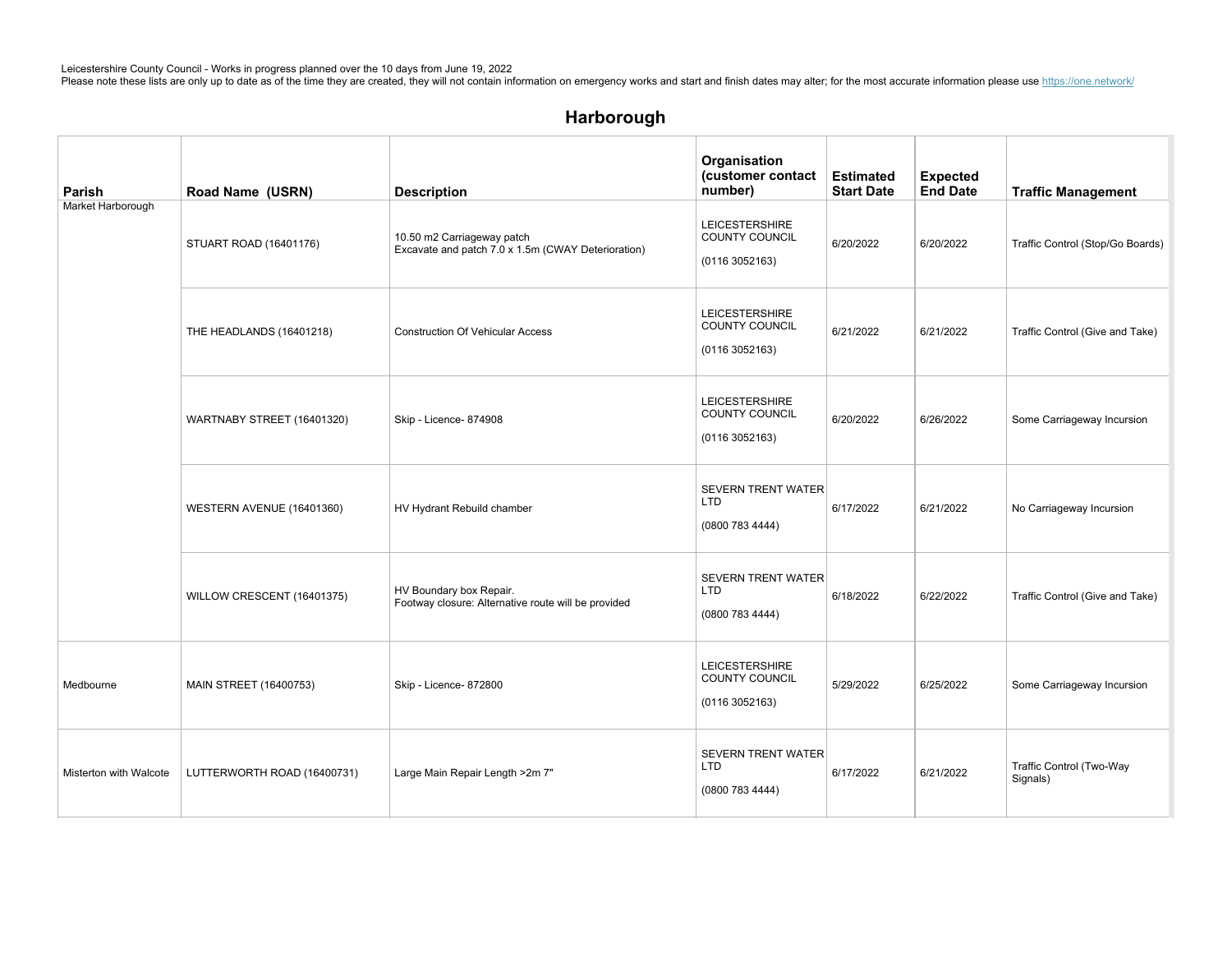| Parish                 | Road Name (USRN)            | <b>Description</b>                                                               | Organisation<br>(customer contact<br>number)                    | <b>Estimated</b><br><b>Start Date</b> | <b>Expected</b><br><b>End Date</b> | <b>Traffic Management</b>            |
|------------------------|-----------------------------|----------------------------------------------------------------------------------|-----------------------------------------------------------------|---------------------------------------|------------------------------------|--------------------------------------|
| Market Harborough      | STUART ROAD (16401176)      | 10.50 m2 Carriageway patch<br>Excavate and patch 7.0 x 1.5m (CWAY Deterioration) | LEICESTERSHIRE<br><b>COUNTY COUNCIL</b><br>(01163052163)        | 6/20/2022                             | 6/20/2022                          | Traffic Control (Stop/Go Boards)     |
|                        | THE HEADLANDS (16401218)    | <b>Construction Of Vehicular Access</b>                                          | <b>LEICESTERSHIRE</b><br>COUNTY COUNCIL<br>(01163052163)        | 6/21/2022                             | 6/21/2022                          | Traffic Control (Give and Take)      |
|                        | WARTNABY STREET (16401320)  | Skip - Licence- 874908                                                           | <b>LEICESTERSHIRE</b><br>COUNTY COUNCIL<br>(01163052163)        | 6/20/2022                             | 6/26/2022                          | Some Carriageway Incursion           |
|                        | WESTERN AVENUE (16401360)   | HV Hydrant Rebuild chamber                                                       | <b>SEVERN TRENT WATER</b><br>LTD<br>(08007834444)               | 6/17/2022                             | 6/21/2022                          | No Carriageway Incursion             |
|                        | WILLOW CRESCENT (16401375)  | HV Boundary box Repair.<br>Footway closure: Alternative route will be provided   | <b>SEVERN TRENT WATER</b><br>LTD<br>(08007834444)               | 6/18/2022                             | 6/22/2022                          | Traffic Control (Give and Take)      |
| Medbourne              | MAIN STREET (16400753)      | Skip - Licence- 872800                                                           | <b>LEICESTERSHIRE</b><br><b>COUNTY COUNCIL</b><br>(01163052163) | 5/29/2022                             | 6/25/2022                          | Some Carriageway Incursion           |
| Misterton with Walcote | LUTTERWORTH ROAD (16400731) | Large Main Repair Length >2m 7"                                                  | <b>SEVERN TRENT WATER</b><br>LTD<br>(0800 783 4444)             | 6/17/2022                             | 6/21/2022                          | Traffic Control (Two-Way<br>Signals) |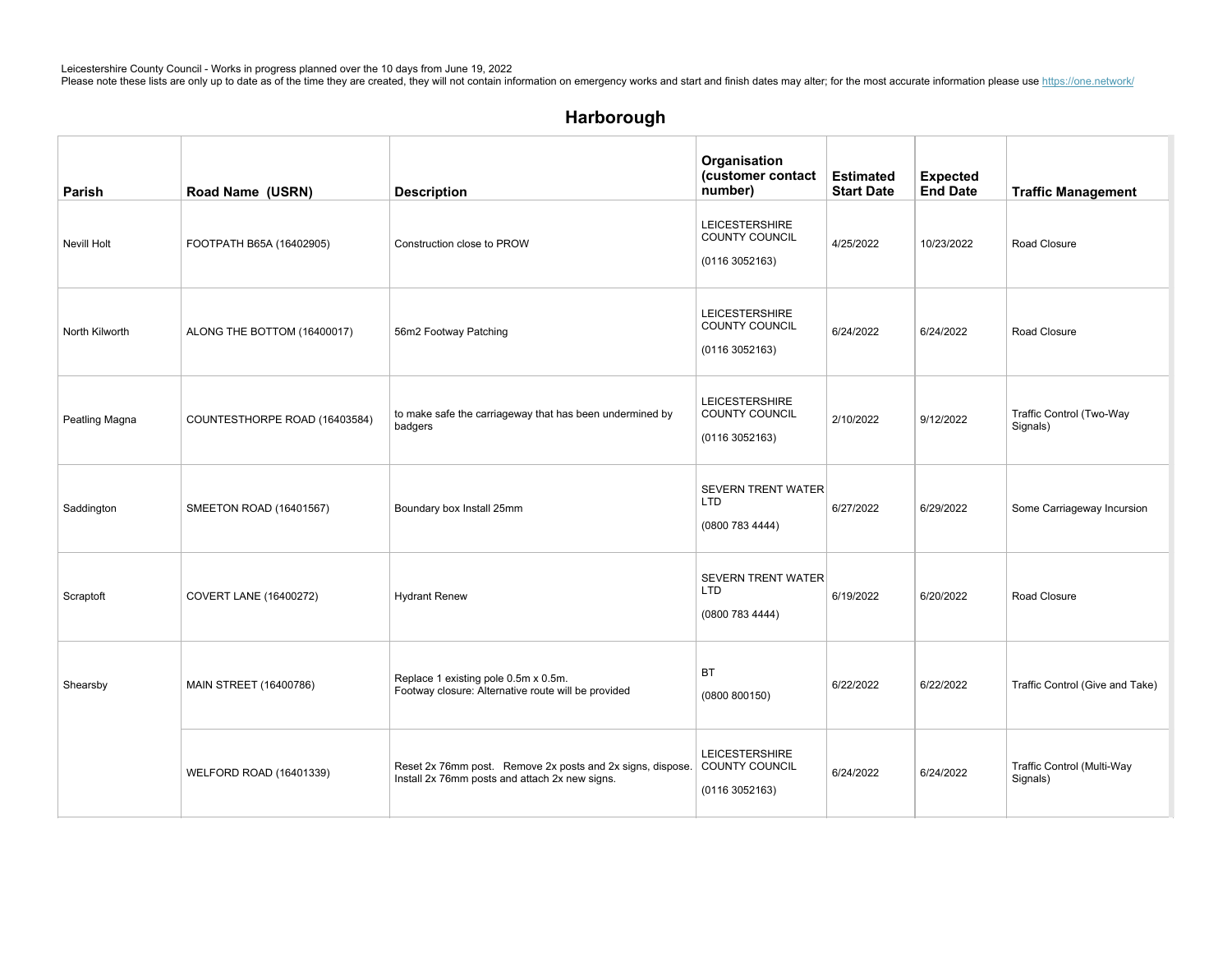| Parish         | Road Name (USRN)              | <b>Description</b>                                                                                                          | Organisation<br>(customer contact<br>number)                    | <b>Estimated</b><br><b>Start Date</b> | <b>Expected</b><br><b>End Date</b> | <b>Traffic Management</b>              |
|----------------|-------------------------------|-----------------------------------------------------------------------------------------------------------------------------|-----------------------------------------------------------------|---------------------------------------|------------------------------------|----------------------------------------|
| Nevill Holt    | FOOTPATH B65A (16402905)      | Construction close to PROW                                                                                                  | <b>LEICESTERSHIRE</b><br><b>COUNTY COUNCIL</b><br>(01163052163) | 4/25/2022                             | 10/23/2022                         | Road Closure                           |
| North Kilworth | ALONG THE BOTTOM (16400017)   | 56m2 Footway Patching                                                                                                       | <b>LEICESTERSHIRE</b><br>COUNTY COUNCIL<br>(01163052163)        | 6/24/2022                             | 6/24/2022                          | Road Closure                           |
| Peatling Magna | COUNTESTHORPE ROAD (16403584) | to make safe the carriageway that has been undermined by<br>badgers                                                         | <b>LEICESTERSHIRE</b><br>COUNTY COUNCIL<br>(01163052163)        | 2/10/2022                             | 9/12/2022                          | Traffic Control (Two-Way<br>Signals)   |
| Saddington     | SMEETON ROAD (16401567)       | Boundary box Install 25mm                                                                                                   | <b>SEVERN TRENT WATER</b><br><b>LTD</b><br>(0800 783 4444)      | 6/27/2022                             | 6/29/2022                          | Some Carriageway Incursion             |
| Scraptoft      | <b>COVERT LANE (16400272)</b> | <b>Hydrant Renew</b>                                                                                                        | <b>SEVERN TRENT WATER</b><br><b>LTD</b><br>(0800 783 4444)      | 6/19/2022                             | 6/20/2022                          | Road Closure                           |
| Shearsby       | MAIN STREET (16400786)        | Replace 1 existing pole 0.5m x 0.5m.<br>Footway closure: Alternative route will be provided                                 | <b>BT</b><br>(0800 800150)                                      | 6/22/2022                             | 6/22/2022                          | Traffic Control (Give and Take)        |
|                | WELFORD ROAD (16401339)       | Reset 2x 76mm post. Remove 2x posts and 2x signs, dispose. COUNTY COUNCIL<br>Install 2x 76mm posts and attach 2x new signs. | <b>LEICESTERSHIRE</b><br>(01163052163)                          | 6/24/2022                             | 6/24/2022                          | Traffic Control (Multi-Way<br>Signals) |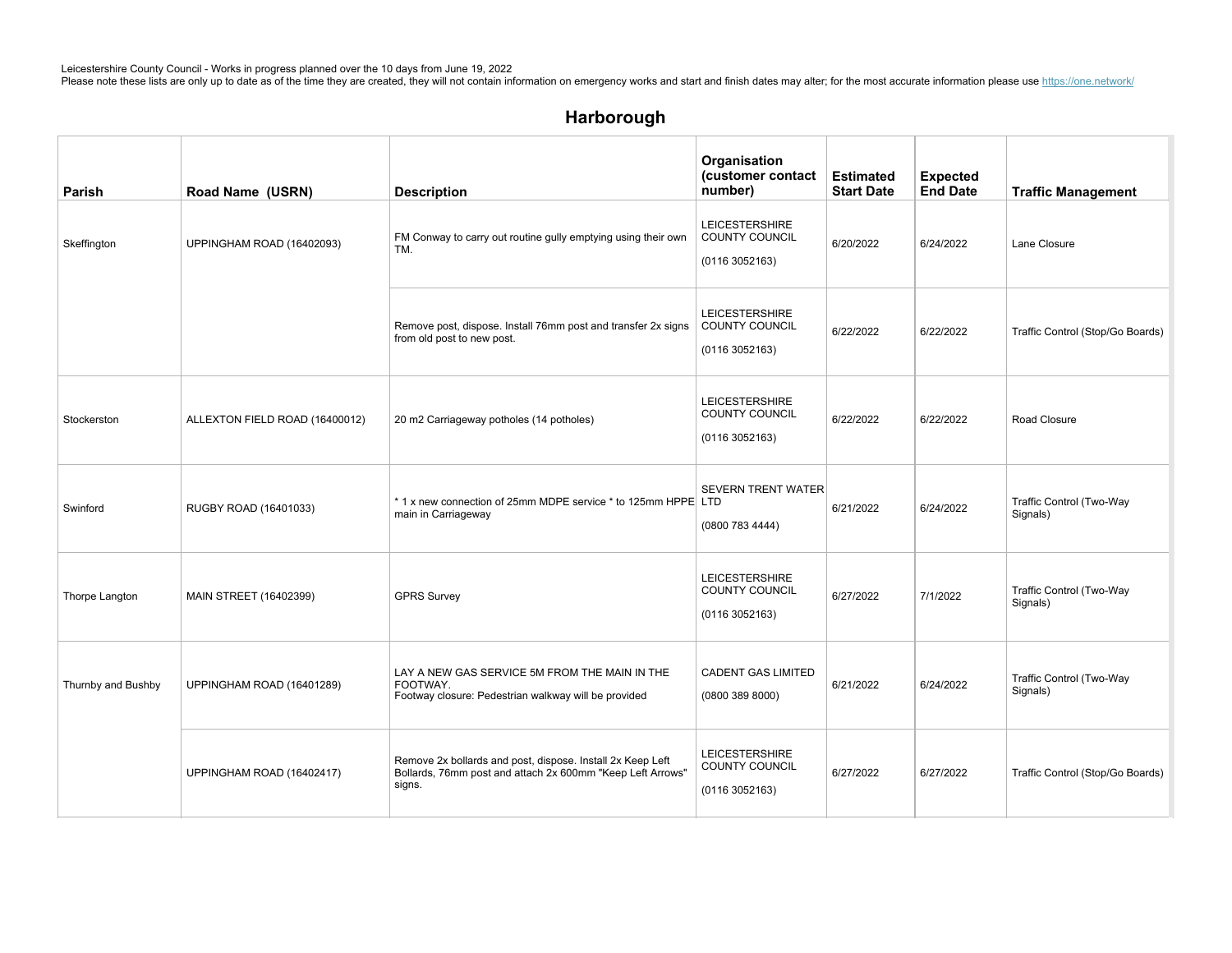# Harborough

| Parish             | Road Name (USRN)               | <b>Description</b>                                                                                                                 | Organisation<br>(customer contact<br>number)                     | <b>Estimated</b><br><b>Start Date</b> | <b>Expected</b><br><b>End Date</b> | <b>Traffic Management</b>            |
|--------------------|--------------------------------|------------------------------------------------------------------------------------------------------------------------------------|------------------------------------------------------------------|---------------------------------------|------------------------------------|--------------------------------------|
| Skeffington        | UPPINGHAM ROAD (16402093)      | FM Conway to carry out routine gully emptying using their own<br>TM.                                                               | <b>LEICESTERSHIRE</b><br><b>COUNTY COUNCIL</b><br>(01163052163)  | 6/20/2022                             | 6/24/2022                          | Lane Closure                         |
|                    |                                | Remove post, dispose. Install 76mm post and transfer 2x signs<br>from old post to new post.                                        | <b>LEICESTERSHIRE</b><br><b>COUNTY COUNCIL</b><br>(01163052163)  | 6/22/2022                             | 6/22/2022                          | Traffic Control (Stop/Go Boards)     |
| Stockerston        | ALLEXTON FIELD ROAD (16400012) | 20 m2 Carriageway potholes (14 potholes)                                                                                           | <b>LEICESTERSHIRE</b><br><b>COUNTY COUNCIL</b><br>(01163052163)  | 6/22/2022                             | 6/22/2022                          | Road Closure                         |
| Swinford           | RUGBY ROAD (16401033)          | *1 x new connection of 25mm MDPE service * to 125mm HPPE LTD<br>main in Carriageway                                                | <b>SEVERN TRENT WATER</b><br>(0800 783 4444)                     | 6/21/2022                             | 6/24/2022                          | Traffic Control (Two-Way<br>Signals) |
| Thorpe Langton     | MAIN STREET (16402399)         | <b>GPRS Survey</b>                                                                                                                 | <b>LEICESTERSHIRE</b><br><b>COUNTY COUNCIL</b><br>(0116 3052163) | 6/27/2022                             | 7/1/2022                           | Traffic Control (Two-Way<br>Signals) |
| Thurnby and Bushby | UPPINGHAM ROAD (16401289)      | LAY A NEW GAS SERVICE 5M FROM THE MAIN IN THE<br>FOOTWAY.<br>Footway closure: Pedestrian walkway will be provided                  | <b>CADENT GAS LIMITED</b><br>(0800 389 8000)                     | 6/21/2022                             | 6/24/2022                          | Traffic Control (Two-Way<br>Signals) |
|                    | UPPINGHAM ROAD (16402417)      | Remove 2x bollards and post, dispose. Install 2x Keep Left<br>Bollards, 76mm post and attach 2x 600mm "Keep Left Arrows"<br>signs. | <b>LEICESTERSHIRE</b><br>COUNTY COUNCIL<br>(01163052163)         | 6/27/2022                             | 6/27/2022                          | Traffic Control (Stop/Go Boards)     |

MAINSTREET(1640 $\sigma$ 2) 1jointholeingrassvergeand $3$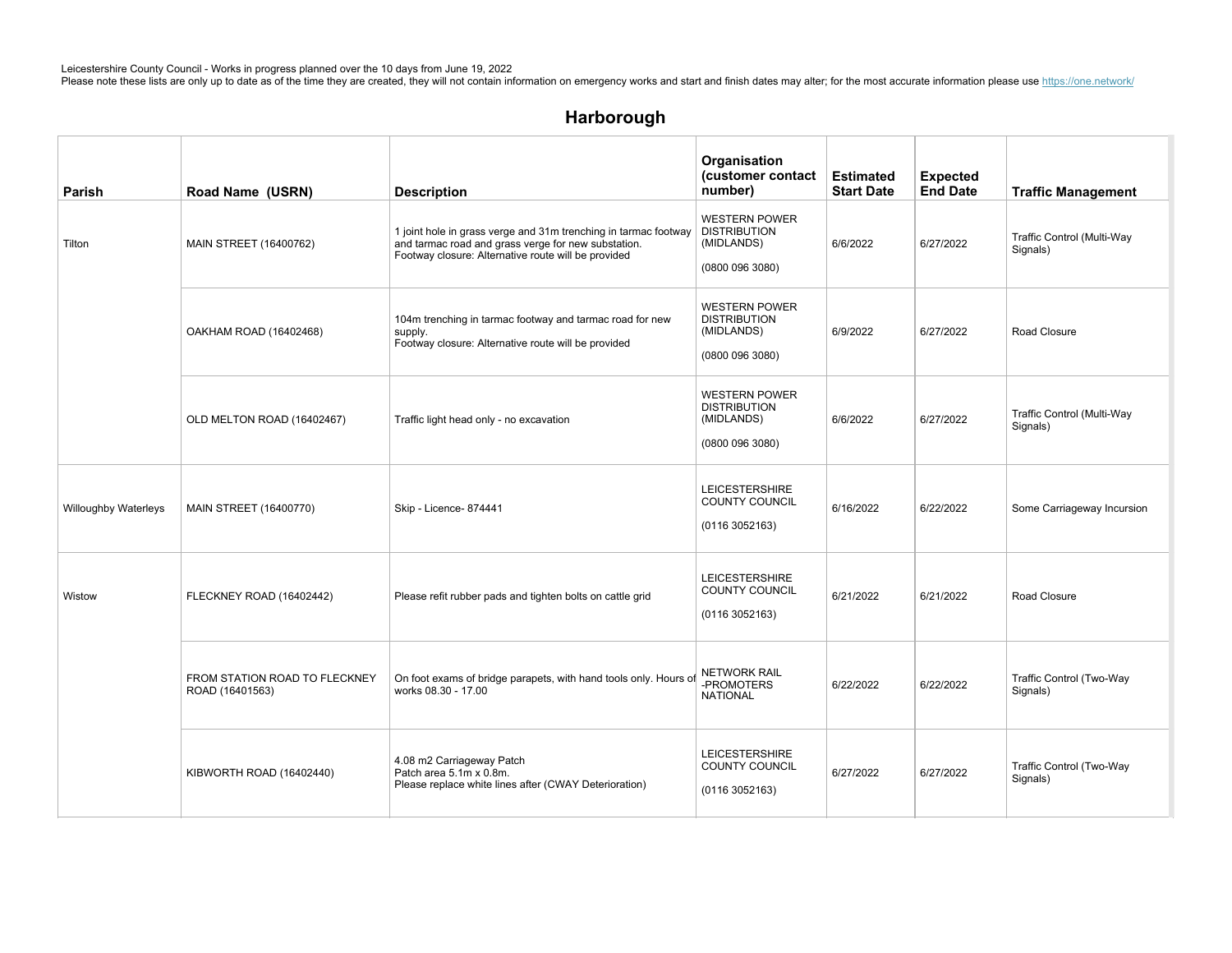# Harborough

| Parish                      | Road Name (USRN)                                 | <b>Description</b>                                                                                                                                                            | Organisation<br>(customer contact<br>number)                                 | <b>Estimated</b><br><b>Start Date</b> | <b>Expected</b><br><b>End Date</b> | <b>Traffic Management</b>              |
|-----------------------------|--------------------------------------------------|-------------------------------------------------------------------------------------------------------------------------------------------------------------------------------|------------------------------------------------------------------------------|---------------------------------------|------------------------------------|----------------------------------------|
| Tilton                      | <b>MAIN STREET (16400762)</b>                    | 1 joint hole in grass verge and 31m trenching in tarmac footway<br>and tarmac road and grass verge for new substation.<br>Footway closure: Alternative route will be provided | <b>WESTERN POWER</b><br><b>DISTRIBUTION</b><br>(MIDLANDS)<br>(0800 096 3080) | 6/6/2022                              | 6/27/2022                          | Traffic Control (Multi-Way<br>Signals) |
|                             | OAKHAM ROAD (16402468)                           | 104m trenching in tarmac footway and tarmac road for new<br>supply.<br>Footway closure: Alternative route will be provided                                                    | <b>WESTERN POWER</b><br><b>DISTRIBUTION</b><br>(MIDLANDS)<br>(0800 096 3080) | 6/9/2022                              | 6/27/2022                          | Road Closure                           |
|                             | OLD MELTON ROAD (16402467)                       | Traffic light head only - no excavation                                                                                                                                       | <b>WESTERN POWER</b><br><b>DISTRIBUTION</b><br>(MIDLANDS)<br>(0800 096 3080) | 6/6/2022                              | 6/27/2022                          | Traffic Control (Multi-Way<br>Signals) |
| <b>Willoughby Waterleys</b> | MAIN STREET (16400770)                           | Skip - Licence- 874441                                                                                                                                                        | <b>LEICESTERSHIRE</b><br><b>COUNTY COUNCIL</b><br>(01163052163)              | 6/16/2022                             | 6/22/2022                          | Some Carriageway Incursion             |
| Wistow                      | FLECKNEY ROAD (16402442)                         | Please refit rubber pads and tighten bolts on cattle grid                                                                                                                     | <b>LEICESTERSHIRE</b><br><b>COUNTY COUNCIL</b><br>(01163052163)              | 6/21/2022                             | 6/21/2022                          | Road Closure                           |
|                             | FROM STATION ROAD TO FLECKNEY<br>ROAD (16401563) | On foot exams of bridge parapets, with hand tools only. Hours of<br>works 08.30 - 17.00                                                                                       | <b>NETWORK RAIL</b><br>-PROMOTERS<br><b>NATIONAL</b>                         | 6/22/2022                             | 6/22/2022                          | Traffic Control (Two-Way<br>Signals)   |
|                             | KIBWORTH ROAD (16402440)                         | 4.08 m2 Carriageway Patch<br>Patch area 5.1m x 0.8m.<br>Please replace white lines after (CWAY Deterioration)                                                                 | <b>LEICESTERSHIRE</b><br><b>COUNTY COUNCIL</b><br>(01163052163)              | 6/27/2022                             | 6/27/2022                          | Traffic Control (Two-Way<br>Signals)   |

 $N_{\rm eff}$  and  $N_{\rm eff}$  and  $N_{\rm eff}$  and  $N_{\rm eff}$  are ignoresters in  $L_{\rm eff}$  and  $N_{\rm eff}$  are ignoresters in  $L_{\rm eff}$